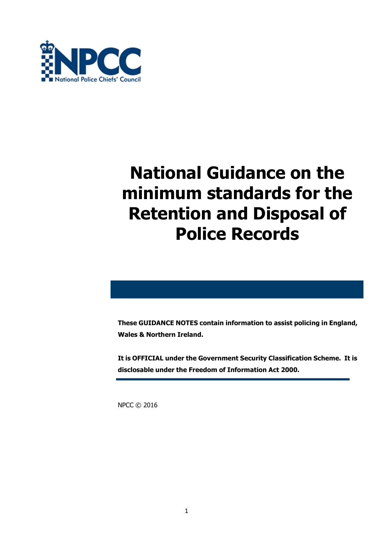

### **National Guidance on the minimum standards for the Retention and Disposal of Police Records**

**These GUIDANCE NOTES contain information to assist policing in England, Wales & Northern Ireland.**

**It is OFFICIAL under the Government Security Classification Scheme. It is disclosable under the Freedom of Information Act 2000.**

NPCC © 2016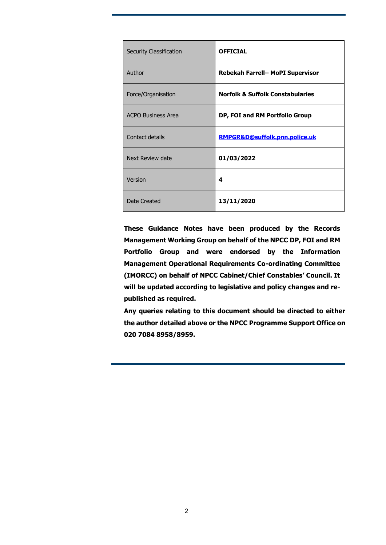| <b>Security Classification</b> | <b>OFFICIAL</b>                             |
|--------------------------------|---------------------------------------------|
| Author                         | Rebekah Farrell- MoPI Supervisor            |
| Force/Organisation             | <b>Norfolk &amp; Suffolk Constabularies</b> |
| <b>ACPO Business Area</b>      | DP, FOI and RM Portfolio Group              |
| Contact details                | RMPGR&D@suffolk.pnn.police.uk               |
| Next Review date               | 01/03/2022                                  |
| Version                        | 4                                           |
| Date Created                   | 13/11/2020                                  |

**These Guidance Notes have been produced by the Records Management Working Group on behalf of the NPCC DP, FOI and RM Portfolio Group and were endorsed by the Information Management Operational Requirements Co-ordinating Committee (IMORCC) on behalf of NPCC Cabinet/Chief Constables' Council. It will be updated according to legislative and policy changes and republished as required.**

**Any queries relating to this document should be directed to either the author detailed above or the NPCC Programme Support Office on 020 7084 8958/8959.**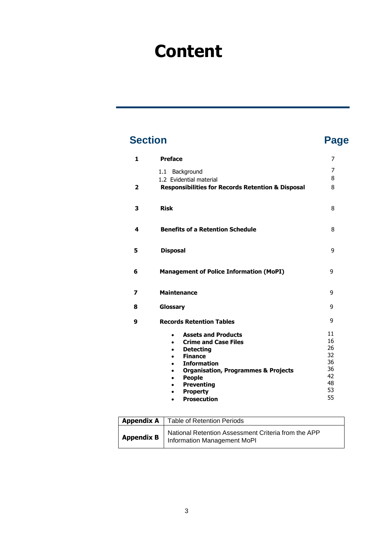### **Content**

### **Section Page**

| 1            | <b>Preface</b>                                                                                                                                                                                                                                                                                                                       | 7                                                        |
|--------------|--------------------------------------------------------------------------------------------------------------------------------------------------------------------------------------------------------------------------------------------------------------------------------------------------------------------------------------|----------------------------------------------------------|
| $\mathbf{2}$ | 1.1 Background<br>1.2 Evidential material<br><b>Responsibilities for Records Retention &amp; Disposal</b>                                                                                                                                                                                                                            | 7<br>8<br>8                                              |
| 3            | <b>Risk</b>                                                                                                                                                                                                                                                                                                                          | 8                                                        |
| 4            | <b>Benefits of a Retention Schedule</b>                                                                                                                                                                                                                                                                                              | 8                                                        |
| 5            | <b>Disposal</b>                                                                                                                                                                                                                                                                                                                      | 9                                                        |
| 6            | <b>Management of Police Information (MoPI)</b>                                                                                                                                                                                                                                                                                       | 9                                                        |
| 7            | <b>Maintenance</b>                                                                                                                                                                                                                                                                                                                   | 9                                                        |
| 8            | Glossary                                                                                                                                                                                                                                                                                                                             | 9                                                        |
| 9            | <b>Records Retention Tables</b>                                                                                                                                                                                                                                                                                                      | 9                                                        |
|              | <b>Assets and Products</b><br>$\bullet$<br><b>Crime and Case Files</b><br>$\bullet$<br><b>Detecting</b><br>$\bullet$<br><b>Finance</b><br>$\bullet$<br><b>Information</b><br>$\bullet$<br><b>Organisation, Programmes &amp; Projects</b><br>$\bullet$<br><b>People</b><br><b>Preventing</b><br><b>Property</b><br><b>Prosecution</b> | 11<br>16<br>26<br>32<br>36<br>36<br>42<br>48<br>53<br>55 |

|                   | <b>Appendix A</b>   Table of Retention Periods                                            |
|-------------------|-------------------------------------------------------------------------------------------|
| <b>Appendix B</b> | National Retention Assessment Criteria from the APP<br><b>Information Management MoPI</b> |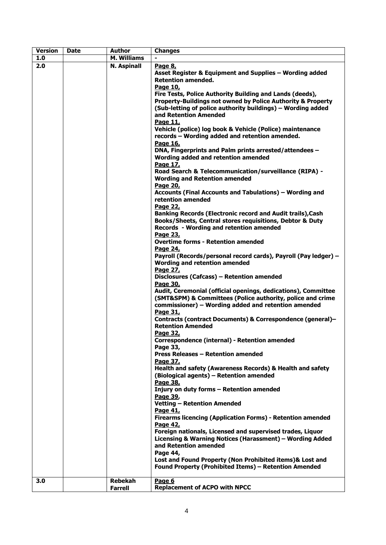| <b>Version</b> | <b>Date</b> | <b>Author</b>      | <b>Changes</b>                                                                                                                                                                                                                                                                                                                                                                                                                                                                                                                                                                                                                                                                                                                                                                                                                                                                                                                                                                                                                                                                                                                                                                                                                                                                                                                                                                                                                                                                                                                                                                                                                                                                                                                                                                                                          |  |  |
|----------------|-------------|--------------------|-------------------------------------------------------------------------------------------------------------------------------------------------------------------------------------------------------------------------------------------------------------------------------------------------------------------------------------------------------------------------------------------------------------------------------------------------------------------------------------------------------------------------------------------------------------------------------------------------------------------------------------------------------------------------------------------------------------------------------------------------------------------------------------------------------------------------------------------------------------------------------------------------------------------------------------------------------------------------------------------------------------------------------------------------------------------------------------------------------------------------------------------------------------------------------------------------------------------------------------------------------------------------------------------------------------------------------------------------------------------------------------------------------------------------------------------------------------------------------------------------------------------------------------------------------------------------------------------------------------------------------------------------------------------------------------------------------------------------------------------------------------------------------------------------------------------------|--|--|
| 1.0            |             | <b>M. Williams</b> |                                                                                                                                                                                                                                                                                                                                                                                                                                                                                                                                                                                                                                                                                                                                                                                                                                                                                                                                                                                                                                                                                                                                                                                                                                                                                                                                                                                                                                                                                                                                                                                                                                                                                                                                                                                                                         |  |  |
| 2.0            |             | <b>N. Aspinall</b> | Page 8,<br>Asset Register & Equipment and Supplies - Wording added<br><b>Retention amended.</b><br>Page 10,<br>Fire Tests, Police Authority Building and Lands (deeds),<br>Property-Buildings not owned by Police Authority & Property<br>(Sub-letting of police authority buildings) - Wording added<br>and Retention Amended<br>Page 11,<br>Vehicle (police) log book & Vehicle (Police) maintenance<br>records - Wording added and retention amended.<br>Page 16,<br>DNA, Fingerprints and Palm prints arrested/attendees -<br>Wording added and retention amended<br>Page 17,<br>Road Search & Telecommunication/surveillance (RIPA) -<br><b>Wording and Retention amended</b><br>Page 20,<br>Accounts (Final Accounts and Tabulations) – Wording and<br>retention amended<br>Page 22,<br>Banking Records (Electronic record and Audit trails), Cash<br>Books/Sheets, Central stores requisitions, Debtor & Duty<br>Records - Wording and retention amended<br>Page 23,<br><b>Overtime forms - Retention amended</b><br>Page 24,<br>Payroll (Records/personal record cards), Payroll (Pay ledger) -<br>Wording and retention amended<br>Page 27,<br>Disclosures (Cafcass) - Retention amended<br>Page 30,<br>Audit, Ceremonial (official openings, dedications), Committee<br>(SMT&SPM) & Committees (Police authority, police and crime<br>commissioner) - Wording added and retention amended<br>Page 31,<br>Contracts (contract Documents) & Correspondence (general)-<br><b>Retention Amended</b><br><b>Page 32,</b><br>Correspondence (internal) - Retention amended<br>Page 33,<br>Press Releases - Retention amended<br>Page 37,<br>Health and safety (Awareness Records) & Health and safety<br>(Biological agents) - Retention amended<br>Page 38,<br>Injury on duty forms - Retention amended<br>Page 39, |  |  |
|                |             |                    | <b>Vetting - Retention Amended</b><br>Page 41,                                                                                                                                                                                                                                                                                                                                                                                                                                                                                                                                                                                                                                                                                                                                                                                                                                                                                                                                                                                                                                                                                                                                                                                                                                                                                                                                                                                                                                                                                                                                                                                                                                                                                                                                                                          |  |  |
|                |             |                    | <b>Firearms licencing (Application Forms) - Retention amended</b><br>Page 42,                                                                                                                                                                                                                                                                                                                                                                                                                                                                                                                                                                                                                                                                                                                                                                                                                                                                                                                                                                                                                                                                                                                                                                                                                                                                                                                                                                                                                                                                                                                                                                                                                                                                                                                                           |  |  |
|                |             |                    | Foreign nationals, Licensed and supervised trades, Liquor<br>Licensing & Warning Notices (Harassment) - Wording Added<br>and Retention amended<br>Page 44,                                                                                                                                                                                                                                                                                                                                                                                                                                                                                                                                                                                                                                                                                                                                                                                                                                                                                                                                                                                                                                                                                                                                                                                                                                                                                                                                                                                                                                                                                                                                                                                                                                                              |  |  |
|                |             |                    | Lost and Found Property (Non Prohibited items)& Lost and<br><b>Found Property (Prohibited Items) - Retention Amended</b>                                                                                                                                                                                                                                                                                                                                                                                                                                                                                                                                                                                                                                                                                                                                                                                                                                                                                                                                                                                                                                                                                                                                                                                                                                                                                                                                                                                                                                                                                                                                                                                                                                                                                                |  |  |
| 3.0            |             | <b>Rebekah</b>     | Page 6                                                                                                                                                                                                                                                                                                                                                                                                                                                                                                                                                                                                                                                                                                                                                                                                                                                                                                                                                                                                                                                                                                                                                                                                                                                                                                                                                                                                                                                                                                                                                                                                                                                                                                                                                                                                                  |  |  |
|                |             | <b>Farrell</b>     | <b>Replacement of ACPO with NPCC</b>                                                                                                                                                                                                                                                                                                                                                                                                                                                                                                                                                                                                                                                                                                                                                                                                                                                                                                                                                                                                                                                                                                                                                                                                                                                                                                                                                                                                                                                                                                                                                                                                                                                                                                                                                                                    |  |  |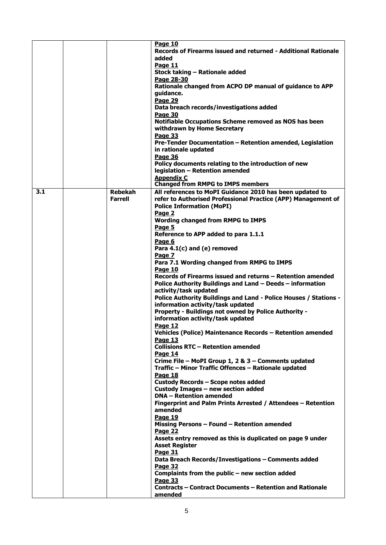|     |                                  | Page 10<br>Records of Firearms issued and returned - Additional Rationale<br>added<br>Page 11<br>Stock taking - Rationale added<br>Page 28-30<br>Rationale changed from ACPO DP manual of guidance to APP<br>guidance.<br>Page 29<br>Data breach records/investigations added<br>Page 30<br>Notifiable Occupations Scheme removed as NOS has been<br>withdrawn by Home Secretary<br>Page 33<br>Pre-Tender Documentation - Retention amended, Legislation<br>in rationale updated<br>Page 36<br>Policy documents relating to the introduction of new<br>legislation - Retention amended<br><b>Appendix C</b><br><b>Changed from RMPG to IMPS members</b>                                                                                                                                                                                                                                                                                                                                                                                                                                                                                                                                                                                                                                                                                                                                                                                                                                                                                                                                               |
|-----|----------------------------------|-------------------------------------------------------------------------------------------------------------------------------------------------------------------------------------------------------------------------------------------------------------------------------------------------------------------------------------------------------------------------------------------------------------------------------------------------------------------------------------------------------------------------------------------------------------------------------------------------------------------------------------------------------------------------------------------------------------------------------------------------------------------------------------------------------------------------------------------------------------------------------------------------------------------------------------------------------------------------------------------------------------------------------------------------------------------------------------------------------------------------------------------------------------------------------------------------------------------------------------------------------------------------------------------------------------------------------------------------------------------------------------------------------------------------------------------------------------------------------------------------------------------------------------------------------------------------------------------------------|
| 3.1 | <b>Rebekah</b><br><b>Farrell</b> | All references to MoPI Guidance 2010 has been updated to<br>refer to Authorised Professional Practice (APP) Management of<br><b>Police Information (MoPI)</b><br>Page 2<br><b>Wording changed from RMPG to IMPS</b><br>Page 5<br>Reference to APP added to para 1.1.1<br>Page 6<br>Para 4.1(c) and (e) removed<br>Page 7<br>Para 7.1 Wording changed from RMPG to IMPS<br>Page 10<br>Records of Firearms issued and returns – Retention amended<br>Police Authority Buildings and Land - Deeds - information<br>activity/task updated<br>Police Authority Buildings and Land - Police Houses / Stations -<br>information activity/task updated<br>Property - Buildings not owned by Police Authority -<br>information activity/task updated<br>Page 12<br>Vehicles (Police) Maintenance Records - Retention amended<br><b>Page 13</b><br><b>Collisions RTC - Retention amended</b><br>Page 14<br>Crime File - MoPI Group 1, 2 & 3 - Comments updated<br>Traffic - Minor Traffic Offences - Rationale updated<br>Page 18<br>Custody Records - Scope notes added<br>Custody Images - new section added<br><b>DNA - Retention amended</b><br>Fingerprint and Palm Prints Arrested / Attendees - Retention<br>amended<br>Page 19<br>Missing Persons - Found - Retention amended<br>Page 22<br>Assets entry removed as this is duplicated on page 9 under<br><b>Asset Register</b><br>Page 31<br>Data Breach Records/Investigations - Comments added<br>Page 32<br>Complaints from the public - new section added<br>Page 33<br><b>Contracts – Contract Documents – Retention and Rationale</b><br>amended |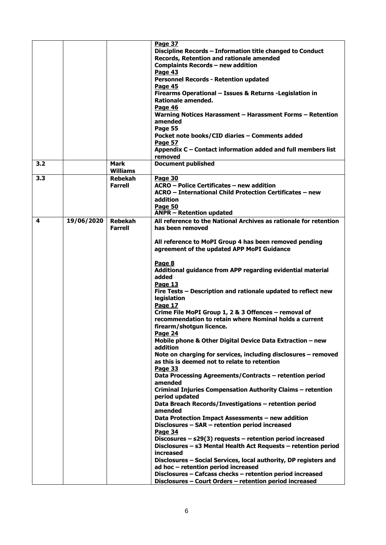|     |            |                | Page 37                                                           |  |
|-----|------------|----------------|-------------------------------------------------------------------|--|
|     |            |                | Discipline Records - Information title changed to Conduct         |  |
|     |            |                | Records, Retention and rationale amended                          |  |
|     |            |                | <b>Complaints Records - new addition</b>                          |  |
|     |            |                |                                                                   |  |
|     |            |                | Page 43                                                           |  |
|     |            |                | <b>Personnel Records - Retention updated</b>                      |  |
|     |            |                | Page 45                                                           |  |
|     |            |                | Firearms Operational - Issues & Returns - Legislation in          |  |
|     |            |                | Rationale amended.                                                |  |
|     |            |                | Page 46                                                           |  |
|     |            |                | Warning Notices Harassment - Harassment Forms - Retention         |  |
|     |            |                | amended                                                           |  |
|     |            |                | Page 55                                                           |  |
|     |            |                | Pocket note books/CID diaries - Comments added                    |  |
|     |            |                | Page 57                                                           |  |
|     |            |                | Appendix C - Contact information added and full members list      |  |
|     |            |                | removed                                                           |  |
| 3.2 |            | Mark           | <b>Document published</b>                                         |  |
|     |            | Williams       |                                                                   |  |
|     |            |                |                                                                   |  |
| 3.3 |            | <b>Rebekah</b> | Page 30                                                           |  |
|     |            | <b>Farrell</b> | ACRO - Police Certificates - new addition                         |  |
|     |            |                | ACRO - International Child Protection Certificates - new          |  |
|     |            |                | addition                                                          |  |
|     |            |                | <b>Page 50</b>                                                    |  |
|     |            |                | <b>ANPR - Retention updated</b>                                   |  |
| 4   | 19/06/2020 | <b>Rebekah</b> | All reference to the National Archives as rationale for retention |  |
|     |            | <b>Farrell</b> | has been removed                                                  |  |
|     |            |                |                                                                   |  |
|     |            |                | All reference to MoPI Group 4 has been removed pending            |  |
|     |            |                | agreement of the updated APP MoPI Guidance                        |  |
|     |            |                |                                                                   |  |
|     |            |                | Page 8                                                            |  |
|     |            |                |                                                                   |  |
|     |            |                | Additional guidance from APP regarding evidential material        |  |
|     |            |                | added                                                             |  |
|     |            |                | Page 13                                                           |  |
|     |            |                | Fire Tests - Description and rationale updated to reflect new     |  |
|     |            |                | legislation                                                       |  |
|     |            |                | Page 17                                                           |  |
|     |            |                | Crime File MoPI Group 1, 2 & 3 Offences – removal of              |  |
|     |            |                | recommendation to retain where Nominal holds a current            |  |
|     |            |                | firearm/shotgun licence.                                          |  |
|     |            |                | Page 24                                                           |  |
|     |            |                | Mobile phone & Other Digital Device Data Extraction - new         |  |
|     |            |                | addition                                                          |  |
|     |            |                | Note on charging for services, including disclosures - removed    |  |
|     |            |                | as this is deemed not to relate to retention                      |  |
|     |            |                | Page 33                                                           |  |
|     |            |                | Data Processing Agreements/Contracts - retention period           |  |
|     |            |                | amended                                                           |  |
|     |            |                | Criminal Injuries Compensation Authority Claims - retention       |  |
|     |            |                | period updated                                                    |  |
|     |            |                |                                                                   |  |
|     |            |                | Data Breach Records/Investigations - retention period             |  |
|     |            |                | amended                                                           |  |
|     |            |                | Data Protection Impact Assessments - new addition                 |  |
|     |            |                | Disclosures - SAR - retention period increased                    |  |
|     |            |                | <b>Page 34</b>                                                    |  |
|     |            |                | Discosures $-$ s29(3) requests $-$ retention period increased     |  |
|     |            |                | Disclosures - s3 Mental Health Act Requests - retention period    |  |
|     |            |                | increased                                                         |  |
|     |            |                | Disclosures - Social Services, local authority, DP registers and  |  |
|     |            |                | ad hoc - retention period increased                               |  |
|     |            |                | Disclosures - Cafcass checks - retention period increased         |  |
|     |            |                | Disclosures - Court Orders - retention period increased           |  |
|     |            |                |                                                                   |  |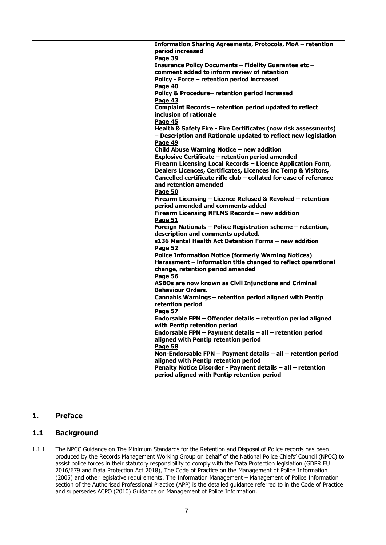|  | Information Sharing Agreements, Protocols, MoA - retention<br>period increased |
|--|--------------------------------------------------------------------------------|
|  | Page 39                                                                        |
|  | Insurance Policy Documents - Fidelity Guarantee etc -                          |
|  | comment added to inform review of retention                                    |
|  | Policy - Force - retention period increased                                    |
|  | Page 40                                                                        |
|  | Policy & Procedure-retention period increased                                  |
|  | <b>Page 43</b>                                                                 |
|  | Complaint Records - retention period updated to reflect                        |
|  | inclusion of rationale                                                         |
|  | Page 45                                                                        |
|  | Health & Safety Fire - Fire Certificates (now risk assessments)                |
|  | - Description and Rationale updated to reflect new legislation                 |
|  | Page 49                                                                        |
|  | Child Abuse Warning Notice - new addition                                      |
|  | <b>Explosive Certificate - retention period amended</b>                        |
|  | Firearm Licensing Local Records - Licence Application Form,                    |
|  | Dealers Licences, Certificates, Licences inc Temp & Visitors,                  |
|  | Cancelled certificate rifle club - collated for ease of reference              |
|  | and retention amended                                                          |
|  | Page 50                                                                        |
|  | Firearm Licensing - Licence Refused & Revoked - retention                      |
|  | period amended and comments added                                              |
|  | Firearm Licensing NFLMS Records - new addition                                 |
|  | Page 51                                                                        |
|  | Foreign Nationals - Police Registration scheme - retention,                    |
|  | description and comments updated.                                              |
|  | s136 Mental Health Act Detention Forms - new addition                          |
|  | <b>Page 52</b>                                                                 |
|  | <b>Police Information Notice (formerly Warning Notices)</b>                    |
|  | Harassment - information title changed to reflect operational                  |
|  | change, retention period amended                                               |
|  | Page 56                                                                        |
|  | ASBOs are now known as Civil Injunctions and Criminal                          |
|  | <b>Behaviour Orders.</b>                                                       |
|  | Cannabis Warnings - retention period aligned with Pentip                       |
|  | retention period                                                               |
|  | Page 57                                                                        |
|  | Endorsable FPN - Offender details - retention period aligned                   |
|  | with Pentip retention period                                                   |
|  | Endorsable FPN - Payment details - all - retention period                      |
|  | aligned with Pentip retention period                                           |
|  | Page 58                                                                        |
|  | Non-Endorsable FPN - Payment details - all - retention period                  |
|  | aligned with Pentip retention period                                           |
|  | Penalty Notice Disorder - Payment details - all - retention                    |
|  | period aligned with Pentip retention period                                    |
|  |                                                                                |

#### <span id="page-6-0"></span>**1. Preface**

#### <span id="page-6-1"></span>**1.1 Background**

1.1.1 The NPCC Guidance on The Minimum Standards for the Retention and Disposal of Police records has been produced by the Records Management Working Group on behalf of the National Police Chiefs' Council (NPCC) to assist police forces in their statutory responsibility to comply with the Data Protection legislation (GDPR EU 2016/679 and Data Protection Act 2018), The Code of Practice on the Management of Police Information (2005) and other legislative requirements. The Information Management – Management of Police Information section of the Authorised Professional Practice (APP) is the detailed guidance referred to in the Code of Practice and supersedes ACPO (2010) Guidance on Management of Police Information.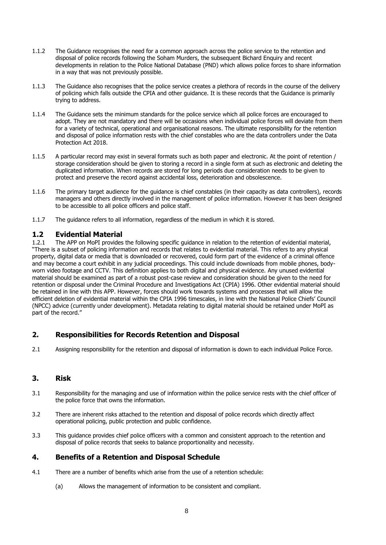- 1.1.2 The Guidance recognises the need for a common approach across the police service to the retention and disposal of police records following the Soham Murders, the subsequent Bichard Enquiry and recent developments in relation to the Police National Database (PND) which allows police forces to share information in a way that was not previously possible.
- 1.1.3 The Guidance also recognises that the police service creates a plethora of records in the course of the delivery of policing which falls outside the CPIA and other guidance. It is these records that the Guidance is primarily trying to address.
- 1.1.4 The Guidance sets the minimum standards for the police service which all police forces are encouraged to adopt. They are not mandatory and there will be occasions when individual police forces will deviate from them for a variety of technical, operational and organisational reasons. The ultimate responsibility for the retention and disposal of police information rests with the chief constables who are the data controllers under the Data Protection Act 2018.
- 1.1.5 A particular record may exist in several formats such as both paper and electronic. At the point of retention / storage consideration should be given to storing a record in a single form at such as electronic and deleting the duplicated information. When records are stored for long periods due consideration needs to be given to protect and preserve the record against accidental loss, deterioration and obsolescence.
- 1.1.6 The primary target audience for the guidance is chief constables (in their capacity as data controllers), records managers and others directly involved in the management of police information. However it has been designed to be accessible to all police officers and police staff.
- 1.1.7 The guidance refers to all information, regardless of the medium in which it is stored.

### <span id="page-7-0"></span>**1.2 Evidential Material**

The APP on MoPI provides the following specific guidance in relation to the retention of evidential material, "There is a subset of policing information and records that relates to evidential material. This refers to any physical property, digital data or media that is downloaded or recovered, could form part of the evidence of a criminal offence and may become a court exhibit in any judicial proceedings. This could include downloads from mobile phones, bodyworn video footage and CCTV. This definition applies to both digital and physical evidence. Any unused evidential material should be examined as part of a robust post-case review and consideration should be given to the need for retention or disposal under the Criminal Procedure and Investigations Act (CPIA) 1996. Other evidential material should be retained in line with this APP. However, forces should work towards systems and processes that will allow the efficient deletion of evidential material within the CPIA 1996 timescales, in line with the National Police Chiefs' Council (NPCC) advice (currently under development). Metadata relating to digital material should be retained under MoPI as part of the record."

### **2. Responsibilities for Records Retention and Disposal**

2.1 Assigning responsibility for the retention and disposal of information is down to each individual Police Force.

#### <span id="page-7-1"></span>**3. Risk**

- 3.1 Responsibility for the managing and use of information within the police service rests with the chief officer of the police force that owns the information.
- 3.2 There are inherent risks attached to the retention and disposal of police records which directly affect operational policing, public protection and public confidence.
- 3.3 This guidance provides chief police officers with a common and consistent approach to the retention and disposal of police records that seeks to balance proportionality and necessity.

#### **4. Benefits of a Retention and Disposal Schedule**

- 4.1 There are a number of benefits which arise from the use of a retention schedule:
	- (a) Allows the management of information to be consistent and compliant.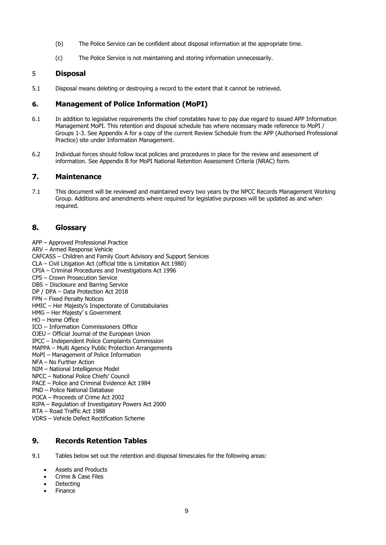- (b) The Police Service can be confident about disposal information at the appropriate time.
- (c) The Police Service is not maintaining and storing information unnecessarily.

#### <span id="page-8-0"></span>5 **Disposal**

5.1 Disposal means deleting or destroying a record to the extent that it cannot be retrieved.

### <span id="page-8-1"></span>**6. Management of Police Information (MoPI)**

- 6.1 In addition to legislative requirements the chief constables have to pay due regard to issued APP Information Management MoPI. This retention and disposal schedule has where necessary made reference to MoPI / Groups 1-3. See Appendix A for a copy of the current Review Schedule from the APP (Authorised Professional Practice) site under Information Management.
- 6.2 Individual forces should follow local policies and procedures in place for the review and assessment of information. See Appendix B for MoPI National Retention Assessment Criteria (NRAC) form.

#### <span id="page-8-2"></span>**7. Maintenance**

7.1 This document will be reviewed and maintained every two years by the NPCC Records Management Working Group. Additions and amendments where required for legislative purposes will be updated as and when required.

#### <span id="page-8-3"></span>**8. Glossary**

- APP Approved Professional Practice
- ARV Armed Response Vehicle
- CAFCASS Children and Family Court Advisory and Support Services
- CLA Civil Litigation Act (official title is Limitation Act 1980)
- CPIA Criminal Procedures and Investigations Act 1996
- CPS Crown Prosecution Service
- DBS Disclosure and Barring Service
- DP / DPA Data Protection Act 2018
- FPN Fixed Penalty Notices
- HMIC Her Majesty's Inspectorate of Constabularies
- HMG Her Majesty' s Government
- HO Home Office
- ICO Information Commissioners Office
- OJEU Official Journal of the European Union
- IPCC Independent Police Complaints Commission
- MAPPA Multi Agency Public Protection Arrangements
- MoPI Management of Police Information
- NFA No Further Action
- NIM National Intelligence Model
- NPCC National Police Chiefs' Council
- PACE Police and Criminal Evidence Act 1984
- PND Police National Database
- POCA Proceeds of Crime Act 2002
- RIPA Regulation of Investigatory Powers Act 2000
- RTA Road Traffic Act 1988
- VDRS Vehicle Defect Rectification Scheme

### <span id="page-8-4"></span>**9. Records Retention Tables**

9.1 Tables below set out the retention and disposal timescales for the following areas:

- Assets and Products
- Crime & Case Files
- **Detecting**
- **Finance**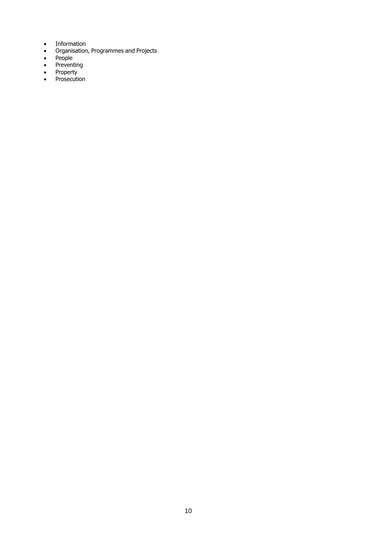- Information
- Organisation, Programmes and Projects
- People
- Preventing
- Property
- Prosecution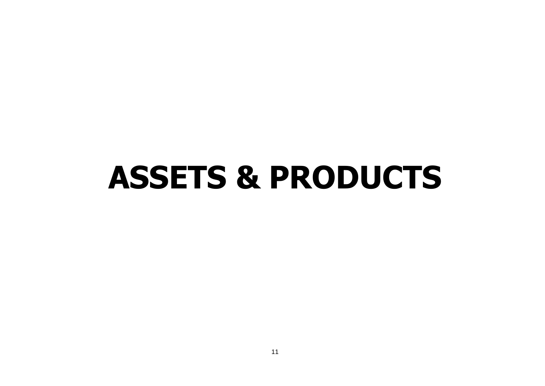### **ASSETS & PRODUCTS**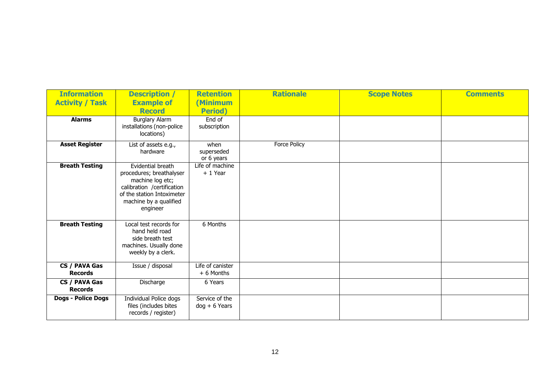| <b>Information</b>              | <b>Description /</b>                                                                                                                                                | <b>Retention</b>                          | <b>Rationale</b>    | <b>Scope Notes</b> | <b>Comments</b> |
|---------------------------------|---------------------------------------------------------------------------------------------------------------------------------------------------------------------|-------------------------------------------|---------------------|--------------------|-----------------|
| <b>Activity / Task</b>          | <b>Example of</b>                                                                                                                                                   | <b>Minimum</b>                            |                     |                    |                 |
| <b>Alarms</b>                   | <b>Record</b><br><b>Burglary Alarm</b><br>installations (non-police                                                                                                 | <b>Period</b> )<br>End of<br>subscription |                     |                    |                 |
|                                 | locations)                                                                                                                                                          |                                           |                     |                    |                 |
| <b>Asset Register</b>           | List of assets e.g.,<br>hardware                                                                                                                                    | when<br>superseded<br>or 6 years          | <b>Force Policy</b> |                    |                 |
| <b>Breath Testing</b>           | Evidential breath<br>procedures; breathalyser<br>machine log etc;<br>calibration /certification<br>of the station Intoximeter<br>machine by a qualified<br>engineer | Life of machine<br>$+1$ Year              |                     |                    |                 |
| <b>Breath Testing</b>           | Local test records for<br>hand held road<br>side breath test<br>machines. Usually done<br>weekly by a clerk.                                                        | 6 Months                                  |                     |                    |                 |
| CS / PAVA Gas<br><b>Records</b> | Issue / disposal                                                                                                                                                    | Life of canister<br>$+ 6$ Months          |                     |                    |                 |
| CS / PAVA Gas<br><b>Records</b> | Discharge                                                                                                                                                           | 6 Years                                   |                     |                    |                 |
| <b>Dogs - Police Dogs</b>       | Individual Police dogs<br>files (includes bites<br>records / register)                                                                                              | Service of the<br>$dog + 6$ Years         |                     |                    |                 |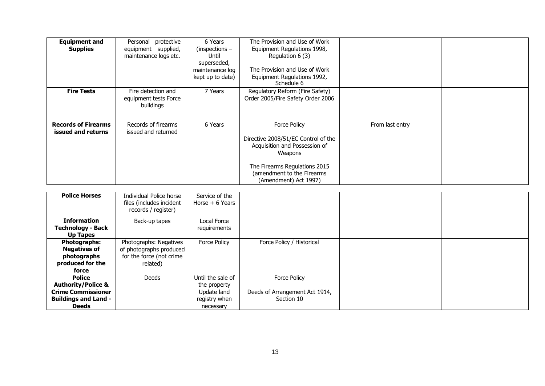| <b>Equipment and</b><br><b>Supplies</b>          | protective<br>Personal<br>equipment supplied,<br>maintenance logs etc. | 6 Years<br>$(inspections -$<br>Until<br>superseded,<br>maintenance log<br>kept up to date) | The Provision and Use of Work<br>Equipment Regulations 1998,<br>Regulation 6 (3)<br>The Provision and Use of Work<br>Equipment Regulations 1992,<br>Schedule 6                                 |                 |  |
|--------------------------------------------------|------------------------------------------------------------------------|--------------------------------------------------------------------------------------------|------------------------------------------------------------------------------------------------------------------------------------------------------------------------------------------------|-----------------|--|
| <b>Fire Tests</b>                                | Fire detection and<br>equipment tests Force<br>buildings               | 7 Years                                                                                    | Regulatory Reform (Fire Safety)<br>Order 2005/Fire Safety Order 2006                                                                                                                           |                 |  |
| <b>Records of Firearms</b><br>issued and returns | Records of firearms<br>issued and returned                             | 6 Years                                                                                    | <b>Force Policy</b><br>Directive 2008/51/EC Control of the<br>Acquisition and Possession of<br>Weapons<br>The Firearms Regulations 2015<br>(amendment to the Firearms<br>(Amendment) Act 1997) | From last entry |  |

| <b>Police Horses</b>          | Individual Police horse<br>files (includes incident<br>records / register) | Service of the<br>Horse $+6$ Years |                                |  |
|-------------------------------|----------------------------------------------------------------------------|------------------------------------|--------------------------------|--|
| <b>Information</b>            | Back-up tapes                                                              | Local Force                        |                                |  |
| Technology - Back             |                                                                            | requirements                       |                                |  |
| <b>Up Tapes</b>               |                                                                            |                                    |                                |  |
| <b>Photographs:</b>           | Photographs: Negatives                                                     | Force Policy                       | Force Policy / Historical      |  |
| <b>Negatives of</b>           | of photographs produced                                                    |                                    |                                |  |
| photographs                   | for the force (not crime                                                   |                                    |                                |  |
| produced for the              | related)                                                                   |                                    |                                |  |
| force                         |                                                                            |                                    |                                |  |
| <b>Police</b>                 | Deeds                                                                      | Until the sale of                  | <b>Force Policy</b>            |  |
| <b>Authority/Police &amp;</b> |                                                                            | the property                       |                                |  |
| <b>Crime Commissioner</b>     |                                                                            | Update land                        | Deeds of Arrangement Act 1914, |  |
| <b>Buildings and Land -</b>   |                                                                            | registry when                      | Section 10                     |  |
| <b>Deeds</b>                  |                                                                            | necessary                          |                                |  |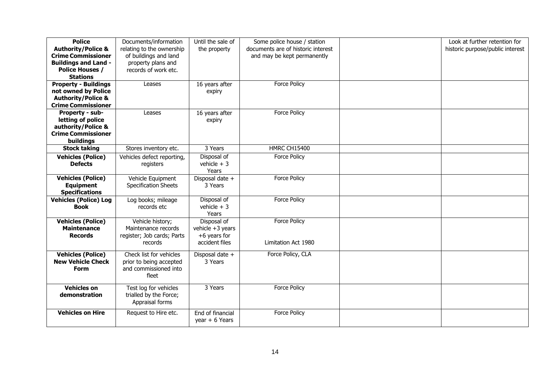| <b>Police</b><br><b>Authority/Police &amp;</b><br><b>Crime Commissioner</b><br><b>Buildings and Land -</b><br><b>Police Houses /</b><br><b>Stations</b> | Documents/information<br>relating to the ownership<br>of buildings and land<br>property plans and<br>records of work etc. | Until the sale of<br>the property                                   | Some police house / station<br>documents are of historic interest<br>and may be kept permanently | Look at further retention for<br>historic purpose/public interest |
|---------------------------------------------------------------------------------------------------------------------------------------------------------|---------------------------------------------------------------------------------------------------------------------------|---------------------------------------------------------------------|--------------------------------------------------------------------------------------------------|-------------------------------------------------------------------|
| <b>Property - Buildings</b><br>not owned by Police<br><b>Authority/Police &amp;</b><br><b>Crime Commissioner</b>                                        | Leases                                                                                                                    | 16 years after<br>expiry                                            | Force Policy                                                                                     |                                                                   |
| Property - sub-<br>letting of police<br>authority/Police &<br><b>Crime Commissioner</b><br>buildings                                                    | Leases                                                                                                                    | 16 years after<br>expiry                                            | <b>Force Policy</b>                                                                              |                                                                   |
| <b>Stock taking</b>                                                                                                                                     | Stores inventory etc.                                                                                                     | 3 Years                                                             | HMRC CH15400                                                                                     |                                                                   |
| <b>Vehicles (Police)</b><br><b>Defects</b>                                                                                                              | Vehicles defect reporting,<br>registers                                                                                   | Disposal of<br>vehicle $+3$<br>Years                                | <b>Force Policy</b>                                                                              |                                                                   |
| <b>Vehicles (Police)</b><br><b>Equipment</b><br><b>Specifications</b>                                                                                   | Vehicle Equipment<br><b>Specification Sheets</b>                                                                          | Disposal date +<br>3 Years                                          | <b>Force Policy</b>                                                                              |                                                                   |
| <b>Vehicles (Police) Log</b><br>Book                                                                                                                    | Log books; mileage<br>records etc                                                                                         | Disposal of<br>vehicle $+3$<br>Years                                | <b>Force Policy</b>                                                                              |                                                                   |
| <b>Vehicles (Police)</b><br><b>Maintenance</b><br><b>Records</b>                                                                                        | Vehicle history;<br>Maintenance records<br>register; Job cards; Parts<br>records                                          | Disposal of<br>vehicle +3 years<br>$+6$ years for<br>accident files | <b>Force Policy</b><br>Limitation Act 1980                                                       |                                                                   |
| <b>Vehicles (Police)</b><br><b>New Vehicle Check</b><br><b>Form</b>                                                                                     | Check list for vehicles<br>prior to being accepted<br>and commissioned into<br>fleet                                      | Disposal date +<br>3 Years                                          | Force Policy, CLA                                                                                |                                                                   |
| <b>Vehicles on</b><br>demonstration                                                                                                                     | Test log for vehicles<br>trialled by the Force;<br>Appraisal forms                                                        | 3 Years                                                             | <b>Force Policy</b>                                                                              |                                                                   |
| <b>Vehicles on Hire</b>                                                                                                                                 | Request to Hire etc.                                                                                                      | End of financial<br>year $+ 6$ Years                                | Force Policy                                                                                     |                                                                   |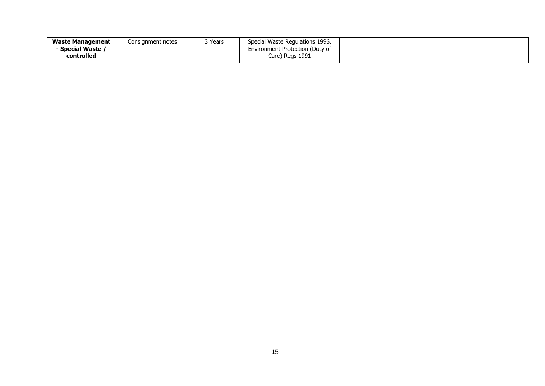| <b>Waste Management</b> | Consignment notes | २ Years | Special Waste Regulations 1996, |  |
|-------------------------|-------------------|---------|---------------------------------|--|
| Special Waste /         |                   |         | Environment Protection (Duty of |  |
| controlled              |                   |         | Care) Regs 1991                 |  |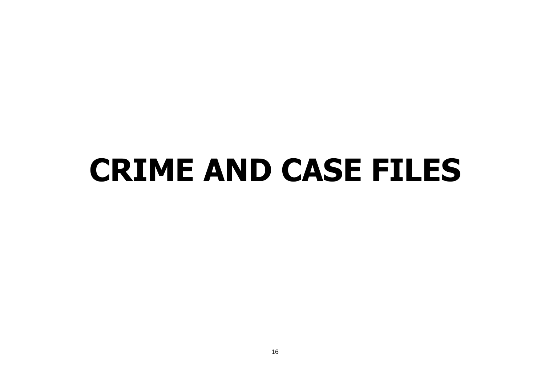## <span id="page-15-0"></span>**CRIME AND CASE FILES**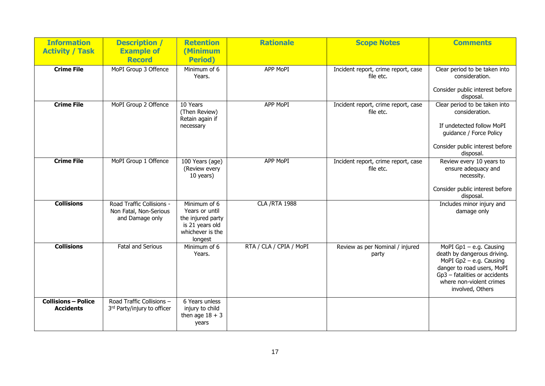| <b>Information</b>                             | <b>Description /</b>                                                   | <b>Retention</b>                                                                                      | <b>Rationale</b>        | <b>Scope Notes</b>                               | <b>Comments</b>                                                                                                                                                                                    |
|------------------------------------------------|------------------------------------------------------------------------|-------------------------------------------------------------------------------------------------------|-------------------------|--------------------------------------------------|----------------------------------------------------------------------------------------------------------------------------------------------------------------------------------------------------|
| <b>Activity / Task</b>                         | <b>Example of</b><br><b>Record</b>                                     | (Minimum<br><b>Period</b> )                                                                           |                         |                                                  |                                                                                                                                                                                                    |
| <b>Crime File</b>                              | MoPI Group 3 Offence                                                   | Minimum of 6<br>Years.                                                                                | APP MoPI                | Incident report, crime report, case<br>file etc. | Clear period to be taken into<br>consideration.<br>Consider public interest before                                                                                                                 |
| <b>Crime File</b>                              | MoPI Group 2 Offence                                                   | 10 Years<br>(Then Review)<br>Retain again if<br>necessary                                             | APP MoPI                | Incident report, crime report, case<br>file etc. | disposal.<br>Clear period to be taken into<br>consideration.<br>If undetected follow MoPI<br>guidance / Force Policy<br>Consider public interest before<br>disposal.                               |
| <b>Crime File</b>                              | MoPI Group 1 Offence                                                   | 100 Years (age)<br>(Review every<br>10 years)                                                         | <b>APP MoPI</b>         | Incident report, crime report, case<br>file etc. | Review every 10 years to<br>ensure adequacy and<br>necessity.<br>Consider public interest before<br>disposal.                                                                                      |
| <b>Collisions</b>                              | Road Traffic Collisions -<br>Non Fatal, Non-Serious<br>and Damage only | Minimum of 6<br>Years or until<br>the injured party<br>is 21 years old<br>whichever is the<br>longest | <b>CLA /RTA 1988</b>    |                                                  | Includes minor injury and<br>damage only                                                                                                                                                           |
| <b>Collisions</b>                              | <b>Fatal and Serious</b>                                               | Minimum of 6<br>Years.                                                                                | RTA / CLA / CPIA / MoPI | Review as per Nominal / injured<br>party         | MoPI $Gp1 - e.g.$ Causing<br>death by dangerous driving.<br>MoPI Gp2 - e.g. Causing<br>danger to road users, MoPI<br>Gp3 - fatalities or accidents<br>where non-violent crimes<br>involved, Others |
| <b>Collisions - Police</b><br><b>Accidents</b> | Road Traffic Collisions -<br>3rd Party/injury to officer               | 6 Years unless<br>injury to child<br>then age $18 + 3$<br>years                                       |                         |                                                  |                                                                                                                                                                                                    |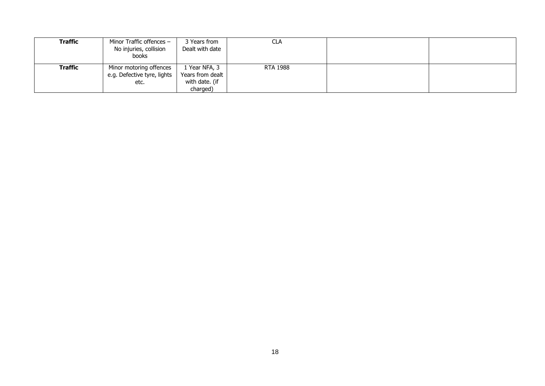| Traffic | Minor Traffic offences $-$<br>No injuries, collision<br>books  | 3 Years from<br>Dealt with date                                 | CLA      |  |
|---------|----------------------------------------------------------------|-----------------------------------------------------------------|----------|--|
| Traffic | Minor motoring offences<br>e.g. Defective tyre, lights<br>etc. | l Year NFA, 3<br>Years from dealt<br>with date. (if<br>charged) | RTA 1988 |  |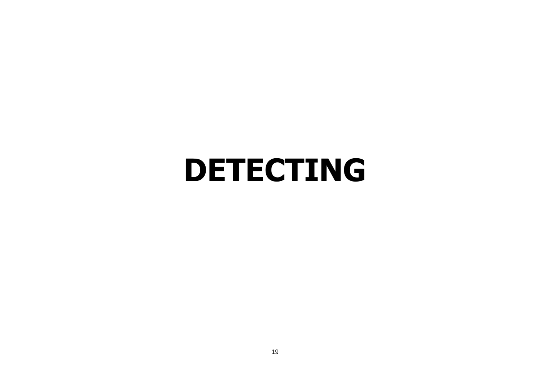### <span id="page-18-0"></span>**DETECTING**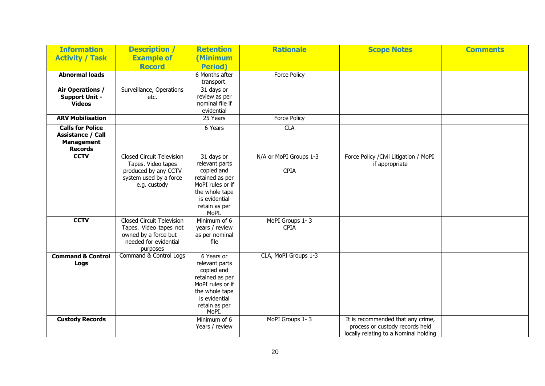| <b>Information</b>                     | <b>Description</b> /                                   | <b>Retention</b>                 | <b>Rationale</b>       | <b>Scope Notes</b>                                       | <b>Comments</b> |
|----------------------------------------|--------------------------------------------------------|----------------------------------|------------------------|----------------------------------------------------------|-----------------|
| <b>Activity / Task</b>                 | <b>Example of</b>                                      | (Minimum                         |                        |                                                          |                 |
|                                        | <b>Record</b>                                          | <b>Period</b> )                  |                        |                                                          |                 |
| <b>Abnormal loads</b>                  |                                                        | 6 Months after                   | <b>Force Policy</b>    |                                                          |                 |
|                                        |                                                        | transport.                       |                        |                                                          |                 |
| Air Operations /                       | Surveillance, Operations                               | 31 days or                       |                        |                                                          |                 |
| <b>Support Unit -</b><br><b>Videos</b> | etc.                                                   | review as per<br>nominal file if |                        |                                                          |                 |
|                                        |                                                        | evidential                       |                        |                                                          |                 |
| <b>ARV Mobilisation</b>                |                                                        | 25 Years                         | <b>Force Policy</b>    |                                                          |                 |
| <b>Calls for Police</b>                |                                                        | 6 Years                          | <b>CLA</b>             |                                                          |                 |
| <b>Assistance / Call</b>               |                                                        |                                  |                        |                                                          |                 |
| <b>Management</b>                      |                                                        |                                  |                        |                                                          |                 |
| <b>Records</b><br><b>CCTV</b>          |                                                        |                                  |                        |                                                          |                 |
|                                        | <b>Closed Circuit Television</b><br>Tapes. Video tapes | 31 days or<br>relevant parts     | N/A or MoPI Groups 1-3 | Force Policy / Civil Litigation / MoPI<br>if appropriate |                 |
|                                        | produced by any CCTV                                   | copied and                       | <b>CPIA</b>            |                                                          |                 |
|                                        | system used by a force                                 | retained as per                  |                        |                                                          |                 |
|                                        | e.g. custody                                           | MoPI rules or if                 |                        |                                                          |                 |
|                                        |                                                        | the whole tape                   |                        |                                                          |                 |
|                                        |                                                        | is evidential                    |                        |                                                          |                 |
|                                        |                                                        | retain as per<br>MoPI.           |                        |                                                          |                 |
| <b>CCTV</b>                            | <b>Closed Circuit Television</b>                       | Minimum of 6                     | MoPI Groups 1-3        |                                                          |                 |
|                                        | Tapes. Video tapes not                                 | years / review                   | <b>CPIA</b>            |                                                          |                 |
|                                        | owned by a force but                                   | as per nominal                   |                        |                                                          |                 |
|                                        | needed for evidential                                  | file                             |                        |                                                          |                 |
|                                        | purposes                                               |                                  |                        |                                                          |                 |
| <b>Command &amp; Control</b>           | Command & Control Logs                                 | 6 Years or<br>relevant parts     | CLA, MoPI Groups 1-3   |                                                          |                 |
| Logs                                   |                                                        | copied and                       |                        |                                                          |                 |
|                                        |                                                        | retained as per                  |                        |                                                          |                 |
|                                        |                                                        | MoPI rules or if                 |                        |                                                          |                 |
|                                        |                                                        | the whole tape                   |                        |                                                          |                 |
|                                        |                                                        | is evidential                    |                        |                                                          |                 |
|                                        |                                                        | retain as per<br>MoPI.           |                        |                                                          |                 |
| <b>Custody Records</b>                 |                                                        | Minimum of 6                     | MoPI Groups 1-3        | It is recommended that any crime,                        |                 |
|                                        |                                                        | Years / review                   |                        | process or custody records held                          |                 |
|                                        |                                                        |                                  |                        | locally relating to a Nominal holding                    |                 |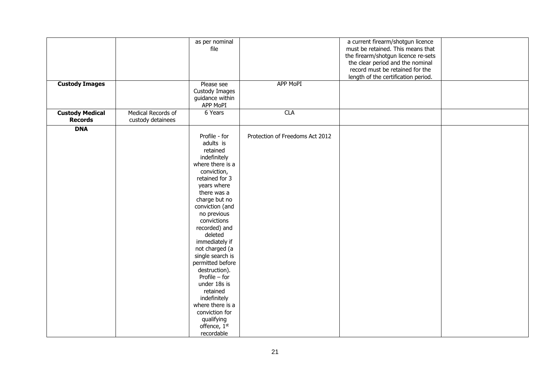| <b>Custody Images</b>                    |                                         | as per nominal<br>file<br>Please see<br>Custody Images<br>guidance within<br>APP MoPI                                                                                                                                                                                                                                                                                                                                                                                                 | <b>APP MoPI</b>                 | a current firearm/shotgun licence<br>must be retained. This means that<br>the firearm/shotgun licence re-sets<br>the clear period and the nominal<br>record must be retained for the<br>length of the certification period. |  |
|------------------------------------------|-----------------------------------------|---------------------------------------------------------------------------------------------------------------------------------------------------------------------------------------------------------------------------------------------------------------------------------------------------------------------------------------------------------------------------------------------------------------------------------------------------------------------------------------|---------------------------------|-----------------------------------------------------------------------------------------------------------------------------------------------------------------------------------------------------------------------------|--|
| <b>Custody Medical</b><br><b>Records</b> | Medical Records of<br>custody detainees | 6 Years                                                                                                                                                                                                                                                                                                                                                                                                                                                                               | <b>CLA</b>                      |                                                                                                                                                                                                                             |  |
| <b>DNA</b>                               |                                         | Profile - for<br>adults is<br>retained<br>indefinitely<br>where there is a<br>conviction,<br>retained for 3<br>years where<br>there was a<br>charge but no<br>conviction (and<br>no previous<br>convictions<br>recorded) and<br>deleted<br>immediately if<br>not charged (a<br>single search is<br>permitted before<br>destruction).<br>Profile $-$ for<br>under 18s is<br>retained<br>indefinitely<br>where there is a<br>conviction for<br>qualifying<br>offence, 1st<br>recordable | Protection of Freedoms Act 2012 |                                                                                                                                                                                                                             |  |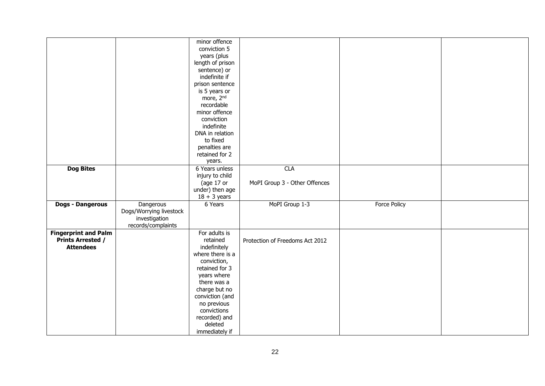|                             |                         | minor offence<br>conviction 5 |                                 |                     |  |
|-----------------------------|-------------------------|-------------------------------|---------------------------------|---------------------|--|
|                             |                         | years (plus                   |                                 |                     |  |
|                             |                         | length of prison              |                                 |                     |  |
|                             |                         |                               |                                 |                     |  |
|                             |                         | sentence) or                  |                                 |                     |  |
|                             |                         | indefinite if                 |                                 |                     |  |
|                             |                         | prison sentence               |                                 |                     |  |
|                             |                         | is 5 years or                 |                                 |                     |  |
|                             |                         | more, 2 <sup>nd</sup>         |                                 |                     |  |
|                             |                         | recordable                    |                                 |                     |  |
|                             |                         | minor offence                 |                                 |                     |  |
|                             |                         | conviction                    |                                 |                     |  |
|                             |                         | indefinite                    |                                 |                     |  |
|                             |                         | DNA in relation               |                                 |                     |  |
|                             |                         | to fixed                      |                                 |                     |  |
|                             |                         | penalties are                 |                                 |                     |  |
|                             |                         | retained for 2                |                                 |                     |  |
|                             |                         | years.                        |                                 |                     |  |
| <b>Dog Bites</b>            |                         | 6 Years unless                | <b>CLA</b>                      |                     |  |
|                             |                         | injury to child               |                                 |                     |  |
|                             |                         | (age 17 or                    | MoPI Group 3 - Other Offences   |                     |  |
|                             |                         | under) then age               |                                 |                     |  |
|                             |                         | $18 + 3$ years                |                                 |                     |  |
| <b>Dogs - Dangerous</b>     | Dangerous               | 6 Years                       | MoPI Group 1-3                  | <b>Force Policy</b> |  |
|                             | Dogs/Worrying livestock |                               |                                 |                     |  |
|                             | investigation           |                               |                                 |                     |  |
|                             | records/complaints      |                               |                                 |                     |  |
| <b>Fingerprint and Palm</b> |                         | For adults is                 |                                 |                     |  |
| <b>Prints Arrested /</b>    |                         | retained                      | Protection of Freedoms Act 2012 |                     |  |
| <b>Attendees</b>            |                         | indefinitely                  |                                 |                     |  |
|                             |                         | where there is a              |                                 |                     |  |
|                             |                         | conviction,                   |                                 |                     |  |
|                             |                         | retained for 3                |                                 |                     |  |
|                             |                         | years where                   |                                 |                     |  |
|                             |                         | there was a                   |                                 |                     |  |
|                             |                         | charge but no                 |                                 |                     |  |
|                             |                         |                               |                                 |                     |  |
|                             |                         | conviction (and               |                                 |                     |  |
|                             |                         | no previous                   |                                 |                     |  |
|                             |                         | convictions                   |                                 |                     |  |
|                             |                         | recorded) and                 |                                 |                     |  |
|                             |                         | deleted                       |                                 |                     |  |
|                             |                         | immediately if                |                                 |                     |  |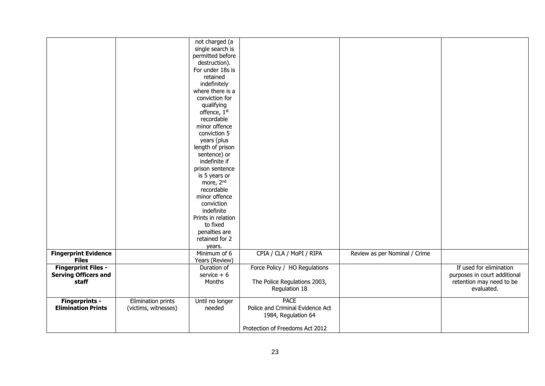|                             |                           | not charged (a         |                                  |                               |                              |
|-----------------------------|---------------------------|------------------------|----------------------------------|-------------------------------|------------------------------|
|                             |                           | single search is       |                                  |                               |                              |
|                             |                           | permitted before       |                                  |                               |                              |
|                             |                           | destruction).          |                                  |                               |                              |
|                             |                           | For under 18s is       |                                  |                               |                              |
|                             |                           | retained               |                                  |                               |                              |
|                             |                           | indefinitely           |                                  |                               |                              |
|                             |                           | where there is a       |                                  |                               |                              |
|                             |                           | conviction for         |                                  |                               |                              |
|                             |                           | qualifying             |                                  |                               |                              |
|                             |                           | offence, 1st           |                                  |                               |                              |
|                             |                           | recordable             |                                  |                               |                              |
|                             |                           | minor offence          |                                  |                               |                              |
|                             |                           | conviction 5           |                                  |                               |                              |
|                             |                           | years (plus            |                                  |                               |                              |
|                             |                           | length of prison       |                                  |                               |                              |
|                             |                           | sentence) or           |                                  |                               |                              |
|                             |                           | indefinite if          |                                  |                               |                              |
|                             |                           | prison sentence        |                                  |                               |                              |
|                             |                           | is 5 years or          |                                  |                               |                              |
|                             |                           | more, 2 <sup>nd</sup>  |                                  |                               |                              |
|                             |                           | recordable             |                                  |                               |                              |
|                             |                           | minor offence          |                                  |                               |                              |
|                             |                           | conviction             |                                  |                               |                              |
|                             |                           | indefinite             |                                  |                               |                              |
|                             |                           | Prints in relation     |                                  |                               |                              |
|                             |                           | to fixed               |                                  |                               |                              |
|                             |                           | penalties are          |                                  |                               |                              |
|                             |                           | retained for 2         |                                  |                               |                              |
|                             |                           |                        |                                  |                               |                              |
| <b>Fingerprint Evidence</b> |                           | years.<br>Minimum of 6 | CPIA / CLA / MoPI / RIPA         |                               |                              |
| <b>Files</b>                |                           | Years (Review)         |                                  | Review as per Nominal / Crime |                              |
| <b>Fingerprint Files -</b>  |                           | Duration of            | Force Policy / HO Regulations    |                               | If used for elimination      |
| <b>Serving Officers and</b> |                           | service $+6$           |                                  |                               | purposes in court additional |
| staff                       |                           | Months                 | The Police Regulations 2003,     |                               | retention may need to be     |
|                             |                           |                        | Regulation 18                    |                               | evaluated.                   |
|                             |                           |                        |                                  |                               |                              |
| <b>Fingerprints -</b>       | <b>Elimination prints</b> | Until no longer        | <b>PACE</b>                      |                               |                              |
| <b>Elimination Prints</b>   | (victims, witnesses)      | needed                 | Police and Criminal Evidence Act |                               |                              |
|                             |                           |                        | 1984, Regulation 64              |                               |                              |
|                             |                           |                        |                                  |                               |                              |
|                             |                           |                        | Protection of Freedoms Act 2012  |                               |                              |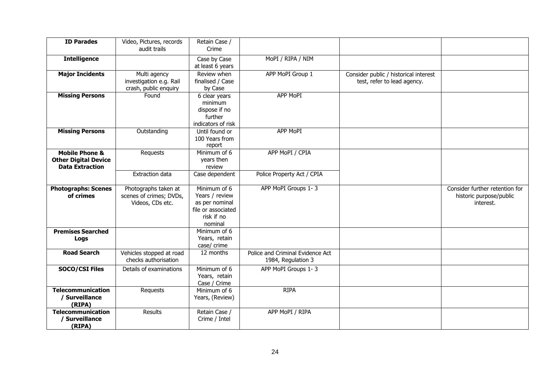| <b>ID Parades</b>                                                                  | Video, Pictures, records<br>audit trails                            | Retain Case /<br>Crime                                                                          |                                                        |                                                                      |                                                                        |
|------------------------------------------------------------------------------------|---------------------------------------------------------------------|-------------------------------------------------------------------------------------------------|--------------------------------------------------------|----------------------------------------------------------------------|------------------------------------------------------------------------|
| <b>Intelligence</b>                                                                |                                                                     | Case by Case<br>at least 6 years                                                                | MoPI / RIPA / NIM                                      |                                                                      |                                                                        |
| <b>Major Incidents</b>                                                             | Multi agency<br>investigation e.g. Rail<br>crash, public enquiry    | Review when<br>finalised / Case<br>by Case                                                      | APP MoPI Group 1                                       | Consider public / historical interest<br>test, refer to lead agency. |                                                                        |
| <b>Missing Persons</b>                                                             | Found                                                               | 6 clear years<br>minimum<br>dispose if no<br>further<br>indicators of risk                      | <b>APP MoPI</b>                                        |                                                                      |                                                                        |
| <b>Missing Persons</b>                                                             | Outstanding                                                         | Until found or<br>100 Years from<br>report                                                      | <b>APP MoPI</b>                                        |                                                                      |                                                                        |
| <b>Mobile Phone &amp;</b><br><b>Other Digital Device</b><br><b>Data Extraction</b> | Requests                                                            | Minimum of 6<br>years then<br>review                                                            | APP MoPI / CPIA                                        |                                                                      |                                                                        |
|                                                                                    | <b>Extraction data</b>                                              | Case dependent                                                                                  | Police Property Act / CPIA                             |                                                                      |                                                                        |
| <b>Photographs: Scenes</b><br>of crimes                                            | Photographs taken at<br>scenes of crimes; DVDs,<br>Videos, CDs etc. | Minimum of 6<br>Years / review<br>as per nominal<br>file or associated<br>risk if no<br>nominal | APP MoPI Groups 1-3                                    |                                                                      | Consider further retention for<br>historic purpose/public<br>interest. |
| <b>Premises Searched</b><br>Logs                                                   |                                                                     | Minimum of 6<br>Years, retain<br>case/ crime                                                    |                                                        |                                                                      |                                                                        |
| <b>Road Search</b>                                                                 | Vehicles stopped at road<br>checks authorisation                    | 12 months                                                                                       | Police and Criminal Evidence Act<br>1984, Regulation 3 |                                                                      |                                                                        |
| <b>SOCO/CSI Files</b>                                                              | Details of examinations                                             | Minimum of 6<br>Years, retain<br>Case / Crime                                                   | APP MoPI Groups 1-3                                    |                                                                      |                                                                        |
| <b>Telecommunication</b><br>/ Surveillance<br>(RIPA)                               | Requests                                                            | Minimum of 6<br>Years, (Review)                                                                 | <b>RIPA</b>                                            |                                                                      |                                                                        |
| <b>Telecommunication</b><br>/ Surveillance<br>(RIPA)                               | Results                                                             | Retain Case /<br>Crime / Intel                                                                  | APP MoPI / RIPA                                        |                                                                      |                                                                        |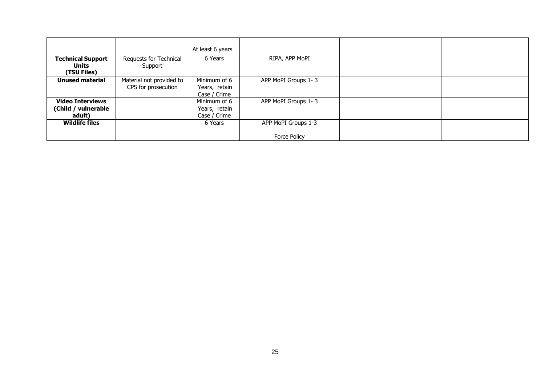|                                                          |                                                 | At least 6 years                              |                                            |  |
|----------------------------------------------------------|-------------------------------------------------|-----------------------------------------------|--------------------------------------------|--|
| <b>Technical Support</b><br>Units<br>(TSU Files)         | Requests for Technical<br>Support               | 6 Years                                       | RIPA, APP MoPI                             |  |
| <b>Unused material</b>                                   | Material not provided to<br>CPS for prosecution | Minimum of 6<br>Years, retain<br>Case / Crime | APP MoPI Groups 1-3                        |  |
| <b>Video Interviews</b><br>(Child / vulnerable<br>adult) |                                                 | Minimum of 6<br>Years, retain<br>Case / Crime | APP MoPI Groups 1-3                        |  |
| <b>Wildlife files</b>                                    |                                                 | 6 Years                                       | APP MoPI Groups 1-3<br><b>Force Policy</b> |  |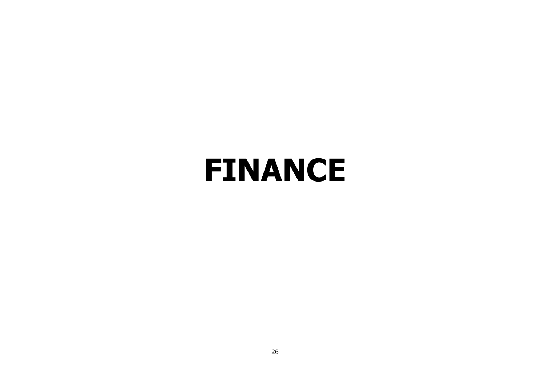### <span id="page-25-0"></span>**FINANCE**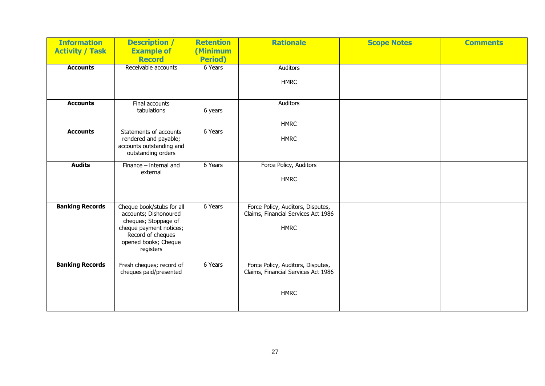| <b>Information</b><br><b>Activity / Task</b> | <b>Description /</b><br><b>Example of</b><br><b>Record</b>                                                                                                      | <b>Retention</b><br>(Minimum<br><b>Period</b> ) | <b>Rationale</b>                                                                        | <b>Scope Notes</b> | <b>Comments</b> |
|----------------------------------------------|-----------------------------------------------------------------------------------------------------------------------------------------------------------------|-------------------------------------------------|-----------------------------------------------------------------------------------------|--------------------|-----------------|
| <b>Accounts</b>                              | Receivable accounts                                                                                                                                             | 6 Years                                         | Auditors                                                                                |                    |                 |
|                                              |                                                                                                                                                                 |                                                 | <b>HMRC</b>                                                                             |                    |                 |
| <b>Accounts</b>                              | Final accounts<br>tabulations                                                                                                                                   | 6 years                                         | Auditors                                                                                |                    |                 |
|                                              |                                                                                                                                                                 |                                                 | <b>HMRC</b>                                                                             |                    |                 |
| <b>Accounts</b>                              | Statements of accounts<br>rendered and payable;<br>accounts outstanding and<br>outstanding orders                                                               | 6 Years                                         | <b>HMRC</b>                                                                             |                    |                 |
| <b>Audits</b>                                | Finance $-$ internal and<br>external                                                                                                                            | 6 Years                                         | Force Policy, Auditors<br><b>HMRC</b>                                                   |                    |                 |
| <b>Banking Records</b>                       | Cheque book/stubs for all<br>accounts; Dishonoured<br>cheques; Stoppage of<br>cheque payment notices;<br>Record of cheques<br>opened books; Cheque<br>registers | 6 Years                                         | Force Policy, Auditors, Disputes,<br>Claims, Financial Services Act 1986<br><b>HMRC</b> |                    |                 |
| <b>Banking Records</b>                       | Fresh cheques; record of<br>cheques paid/presented                                                                                                              | 6 Years                                         | Force Policy, Auditors, Disputes,<br>Claims, Financial Services Act 1986                |                    |                 |
|                                              |                                                                                                                                                                 |                                                 | <b>HMRC</b>                                                                             |                    |                 |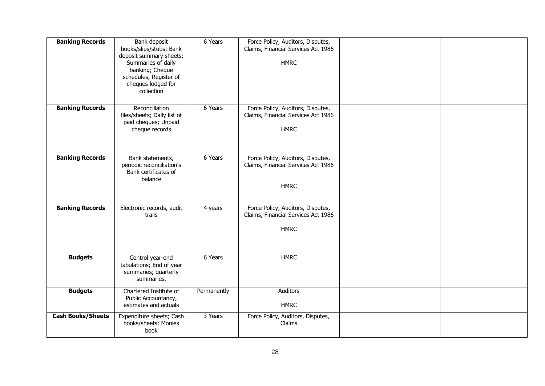| <b>Banking Records</b>   | Bank deposit<br>books/slips/stubs; Bank<br>deposit summary sheets;<br>Summaries of daily<br>banking; Cheque<br>schedules; Register of<br>cheques lodged for<br>collection | 6 Years     | Force Policy, Auditors, Disputes,<br>Claims, Financial Services Act 1986<br><b>HMRC</b> |  |
|--------------------------|---------------------------------------------------------------------------------------------------------------------------------------------------------------------------|-------------|-----------------------------------------------------------------------------------------|--|
| <b>Banking Records</b>   | Reconciliation<br>files/sheets; Daily list of<br>paid cheques; Unpaid<br>cheque records                                                                                   | 6 Years     | Force Policy, Auditors, Disputes,<br>Claims, Financial Services Act 1986<br><b>HMRC</b> |  |
| <b>Banking Records</b>   | Bank statements,<br>periodic reconciliation's<br>Bank certificates of<br>balance                                                                                          | 6 Years     | Force Policy, Auditors, Disputes,<br>Claims, Financial Services Act 1986<br><b>HMRC</b> |  |
| <b>Banking Records</b>   | Electronic records, audit<br>trails                                                                                                                                       | 4 years     | Force Policy, Auditors, Disputes,<br>Claims, Financial Services Act 1986<br><b>HMRC</b> |  |
| <b>Budgets</b>           | Control year-end<br>tabulations; End of year<br>summaries; quarterly<br>summaries.                                                                                        | 6 Years     | <b>HMRC</b>                                                                             |  |
| <b>Budgets</b>           | Chartered Institute of<br>Public Accountancy,<br>estimates and actuals                                                                                                    | Permanently | Auditors<br><b>HMRC</b>                                                                 |  |
| <b>Cash Books/Sheets</b> | Expenditure sheets; Cash<br>books/sheets; Monies<br>book                                                                                                                  | 3 Years     | Force Policy, Auditors, Disputes,<br>Claims                                             |  |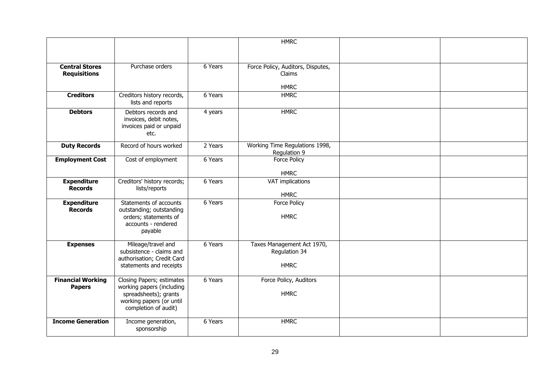|                          |                                                  |         | <b>HMRC</b>                       |  |
|--------------------------|--------------------------------------------------|---------|-----------------------------------|--|
|                          |                                                  |         |                                   |  |
|                          |                                                  |         |                                   |  |
|                          |                                                  |         |                                   |  |
| <b>Central Stores</b>    | Purchase orders                                  | 6 Years | Force Policy, Auditors, Disputes, |  |
| <b>Requisitions</b>      |                                                  |         | Claims                            |  |
|                          |                                                  |         | <b>HMRC</b>                       |  |
| <b>Creditors</b>         | Creditors history records,                       | 6 Years | <b>HMRC</b>                       |  |
|                          | lists and reports                                |         |                                   |  |
| <b>Debtors</b>           | Debtors records and                              | 4 years | <b>HMRC</b>                       |  |
|                          | invoices, debit notes,                           |         |                                   |  |
|                          | invoices paid or unpaid                          |         |                                   |  |
|                          | etc.                                             |         |                                   |  |
|                          | Record of hours worked                           | 2 Years | Working Time Regulations 1998,    |  |
| <b>Duty Records</b>      |                                                  |         | Regulation 9                      |  |
| <b>Employment Cost</b>   | Cost of employment                               | 6 Years | Force Policy                      |  |
|                          |                                                  |         |                                   |  |
|                          |                                                  |         | <b>HMRC</b>                       |  |
| <b>Expenditure</b>       | Creditors' history records;                      | 6 Years | VAT implications                  |  |
| <b>Records</b>           | lists/reports                                    |         |                                   |  |
|                          |                                                  |         | <b>HMRC</b>                       |  |
| <b>Expenditure</b>       | Statements of accounts                           | 6 Years | Force Policy                      |  |
| <b>Records</b>           | outstanding; outstanding                         |         |                                   |  |
|                          | orders; statements of                            |         | <b>HMRC</b>                       |  |
|                          | accounts - rendered                              |         |                                   |  |
|                          | payable                                          |         |                                   |  |
| <b>Expenses</b>          | Mileage/travel and                               | 6 Years | Taxes Management Act 1970,        |  |
|                          | subsistence - claims and                         |         | Regulation 34                     |  |
|                          | authorisation; Credit Card                       |         |                                   |  |
|                          | statements and receipts                          |         | <b>HMRC</b>                       |  |
|                          |                                                  |         |                                   |  |
| <b>Financial Working</b> | Closing Papers; estimates                        | 6 Years | Force Policy, Auditors            |  |
| <b>Papers</b>            | working papers (including                        |         |                                   |  |
|                          | spreadsheets); grants                            |         | <b>HMRC</b>                       |  |
|                          | working papers (or until<br>completion of audit) |         |                                   |  |
|                          |                                                  |         |                                   |  |
| <b>Income Generation</b> | Income generation,                               | 6 Years | <b>HMRC</b>                       |  |
|                          | sponsorship                                      |         |                                   |  |
|                          |                                                  |         |                                   |  |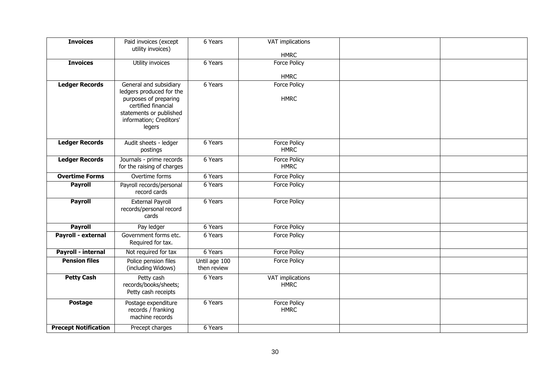| <b>Invoices</b>             | Paid invoices (except                                  | 6 Years       | VAT implications                |  |
|-----------------------------|--------------------------------------------------------|---------------|---------------------------------|--|
|                             | utility invoices)                                      |               | <b>HMRC</b>                     |  |
| <b>Invoices</b>             | Utility invoices                                       | 6 Years       | Force Policy                    |  |
|                             |                                                        |               |                                 |  |
| <b>Ledger Records</b>       | General and subsidiary                                 | 6 Years       | <b>HMRC</b><br>Force Policy     |  |
|                             | ledgers produced for the                               |               |                                 |  |
|                             | purposes of preparing                                  |               | <b>HMRC</b>                     |  |
|                             | certified financial                                    |               |                                 |  |
|                             | statements or published<br>information; Creditors'     |               |                                 |  |
|                             | legers                                                 |               |                                 |  |
|                             |                                                        |               |                                 |  |
| <b>Ledger Records</b>       | Audit sheets - ledger                                  | 6 Years       | Force Policy                    |  |
|                             | postings                                               |               | <b>HMRC</b>                     |  |
| <b>Ledger Records</b>       | Journals - prime records<br>for the raising of charges | 6 Years       | Force Policy<br><b>HMRC</b>     |  |
|                             |                                                        |               |                                 |  |
| <b>Overtime Forms</b>       | Overtime forms                                         | 6 Years       | Force Policy                    |  |
| <b>Payroll</b>              | Payroll records/personal<br>record cards               | 6 Years       | Force Policy                    |  |
| <b>Payroll</b>              | <b>External Payroll</b><br>records/personal record     | 6 Years       | <b>Force Policy</b>             |  |
|                             | cards                                                  |               |                                 |  |
| <b>Payroll</b>              | Pay ledger                                             | 6 Years       | <b>Force Policy</b>             |  |
| Payroll - external          | Government forms etc.                                  | 6 Years       | Force Policy                    |  |
|                             | Required for tax.                                      |               |                                 |  |
| Payroll - internal          | Not required for tax                                   | 6 Years       | <b>Force Policy</b>             |  |
| <b>Pension files</b>        | Police pension files                                   | Until age 100 | Force Policy                    |  |
|                             | (including Widows)                                     | then review   |                                 |  |
| <b>Petty Cash</b>           | Petty cash<br>records/books/sheets;                    | 6 Years       | VAT implications<br><b>HMRC</b> |  |
|                             | Petty cash receipts                                    |               |                                 |  |
| <b>Postage</b>              | Postage expenditure                                    | 6 Years       | Force Policy                    |  |
|                             | records / franking                                     |               | <b>HMRC</b>                     |  |
|                             | machine records                                        |               |                                 |  |
| <b>Precept Notification</b> | Precept charges                                        | 6 Years       |                                 |  |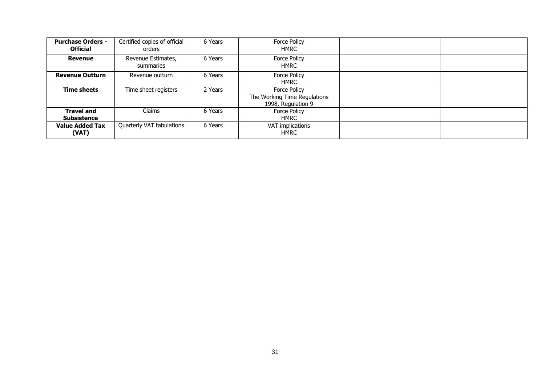| <b>Purchase Orders -</b><br><b>Official</b> | Certified copies of official<br>orders | 6 Years | <b>Force Policy</b><br><b>HMRC</b>                                 |  |
|---------------------------------------------|----------------------------------------|---------|--------------------------------------------------------------------|--|
| <b>Revenue</b>                              | Revenue Estimates,<br>summaries        | 6 Years | Force Policy<br><b>HMRC</b>                                        |  |
| <b>Revenue Outturn</b>                      | Revenue outturn                        | 6 Years | <b>Force Policy</b><br><b>HMRC</b>                                 |  |
| <b>Time sheets</b>                          | Time sheet registers                   | 2 Years | Force Policy<br>The Working Time Regulations<br>1998, Regulation 9 |  |
| <b>Travel and</b><br><b>Subsistence</b>     | Claims                                 | 6 Years | Force Policy<br><b>HMRC</b>                                        |  |
| <b>Value Added Tax</b><br>(VAT)             | Quarterly VAT tabulations              | 6 Years | VAT implications<br><b>HMRC</b>                                    |  |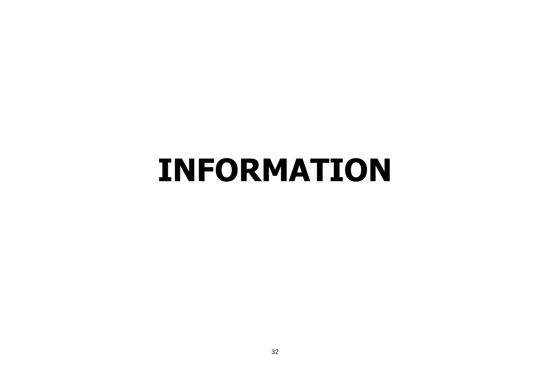### <span id="page-31-0"></span>**INFORMATION**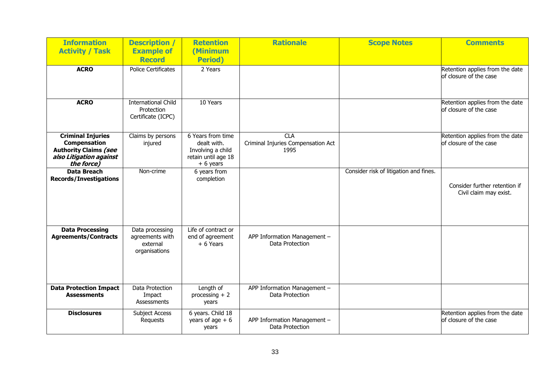| <b>Information</b><br><b>Activity / Task</b>                                                                             | <b>Description /</b><br><b>Example of</b><br><b>Record</b>      | <b>Retention</b><br>(Minimum<br><b>Period</b> )                                             | <b>Rationale</b>                                         | <b>Scope Notes</b>                     | <b>Comments</b>                                           |
|--------------------------------------------------------------------------------------------------------------------------|-----------------------------------------------------------------|---------------------------------------------------------------------------------------------|----------------------------------------------------------|----------------------------------------|-----------------------------------------------------------|
| <b>ACRO</b>                                                                                                              | <b>Police Certificates</b>                                      | 2 Years                                                                                     |                                                          |                                        | Retention applies from the date<br>of closure of the case |
| <b>ACRO</b>                                                                                                              | <b>International Child</b><br>Protection<br>Certificate (ICPC)  | 10 Years                                                                                    |                                                          |                                        | Retention applies from the date<br>of closure of the case |
| <b>Criminal Injuries</b><br><b>Compensation</b><br><b>Authority Claims (see</b><br>also Litigation against<br>the force) | Claims by persons<br>injured                                    | 6 Years from time<br>dealt with.<br>Involving a child<br>retain until age 18<br>$+ 6$ years | <b>CLA</b><br>Criminal Injuries Compensation Act<br>1995 |                                        | Retention applies from the date<br>of closure of the case |
| <b>Data Breach</b><br><b>Records/Investigations</b>                                                                      | Non-crime                                                       | 6 years from<br>completion                                                                  |                                                          | Consider risk of litigation and fines. | Consider further retention if<br>Civil claim may exist.   |
| <b>Data Processing</b><br><b>Agreements/Contracts</b>                                                                    | Data processing<br>agreements with<br>external<br>organisations | Life of contract or<br>end of agreement<br>$+ 6$ Years                                      | APP Information Management -<br>Data Protection          |                                        |                                                           |
| <b>Data Protection Impact</b><br><b>Assessments</b>                                                                      | Data Protection<br>Impact<br>Assessments                        | Length of<br>processing $+2$<br>years                                                       | APP Information Management -<br>Data Protection          |                                        |                                                           |
| <b>Disclosures</b>                                                                                                       | Subject Access<br>Requests                                      | 6 years. Child 18<br>years of age $+6$<br>years                                             | APP Information Management -<br>Data Protection          |                                        | Retention applies from the date<br>of closure of the case |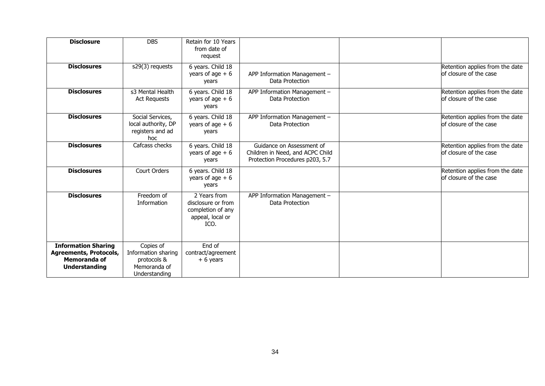| <b>Disclosure</b>                                                                                   | <b>DBS</b>                                                                       | Retain for 10 Years                                                                 |                                                                                                  |                                                           |
|-----------------------------------------------------------------------------------------------------|----------------------------------------------------------------------------------|-------------------------------------------------------------------------------------|--------------------------------------------------------------------------------------------------|-----------------------------------------------------------|
|                                                                                                     |                                                                                  | from date of<br>request                                                             |                                                                                                  |                                                           |
| <b>Disclosures</b>                                                                                  | s29(3) requests                                                                  | 6 years. Child 18<br>years of age $+6$<br>years                                     | APP Information Management -<br>Data Protection                                                  | Retention applies from the date<br>of closure of the case |
| <b>Disclosures</b>                                                                                  | s3 Mental Health<br><b>Act Requests</b>                                          | 6 years. Child 18<br>years of age $+6$<br>years                                     | APP Information Management -<br>Data Protection                                                  | Retention applies from the date<br>of closure of the case |
| <b>Disclosures</b>                                                                                  | Social Services,<br>local authority, DP<br>registers and ad<br>hoc               | 6 years. Child 18<br>years of age $+6$<br>years                                     | APP Information Management -<br>Data Protection                                                  | Retention applies from the date<br>of closure of the case |
| <b>Disclosures</b>                                                                                  | Cafcass checks                                                                   | 6 years. Child 18<br>years of age $+6$<br>years                                     | Guidance on Assessment of<br>Children in Need, and ACPC Child<br>Protection Procedures p203, 5.7 | Retention applies from the date<br>of closure of the case |
| <b>Disclosures</b>                                                                                  | Court Orders                                                                     | 6 years. Child 18<br>years of age $+6$<br>years                                     |                                                                                                  | Retention applies from the date<br>of closure of the case |
| <b>Disclosures</b>                                                                                  | Freedom of<br>Information                                                        | 2 Years from<br>disclosure or from<br>completion of any<br>appeal, local or<br>ICO. | APP Information Management -<br>Data Protection                                                  |                                                           |
| <b>Information Sharing</b><br><b>Agreements, Protocols,</b><br>Memoranda of<br><b>Understanding</b> | Copies of<br>Information sharing<br>protocols &<br>Memoranda of<br>Understanding | End of<br>contract/agreement<br>$+ 6$ years                                         |                                                                                                  |                                                           |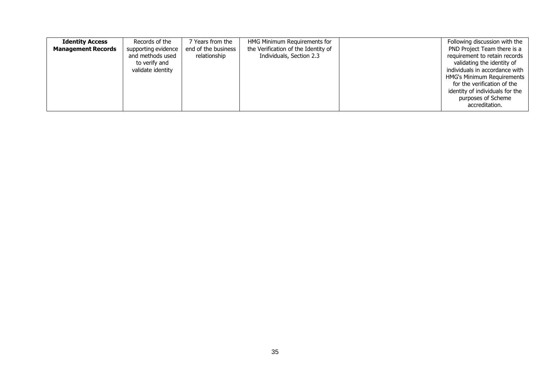| <b>Identity Access</b><br><b>Management Records</b> | Records of the<br>supporting evidence<br>and methods used<br>to verify and<br>validate identity | Years from the<br>end of the business<br>relationship | HMG Minimum Requirements for<br>the Verification of the Identity of<br>Individuals, Section 2.3 | Following discussion with the<br>PND Project Team there is a<br>requirement to retain records<br>validating the identity of<br>individuals in accordance with<br><b>HMG's Minimum Requirements</b><br>for the verification of the |
|-----------------------------------------------------|-------------------------------------------------------------------------------------------------|-------------------------------------------------------|-------------------------------------------------------------------------------------------------|-----------------------------------------------------------------------------------------------------------------------------------------------------------------------------------------------------------------------------------|
|                                                     |                                                                                                 |                                                       |                                                                                                 | identity of individuals for the<br>purposes of Scheme<br>accreditation.                                                                                                                                                           |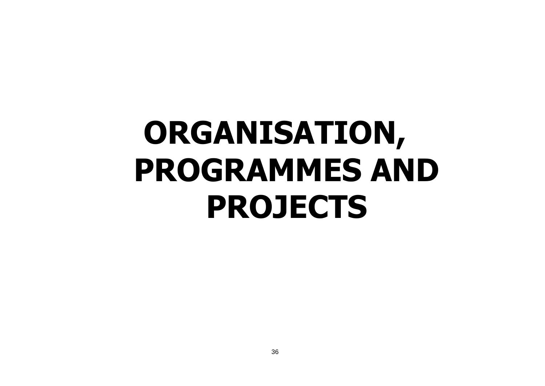# **ORGANISATION, PROGRAMMES AND PROJECTS**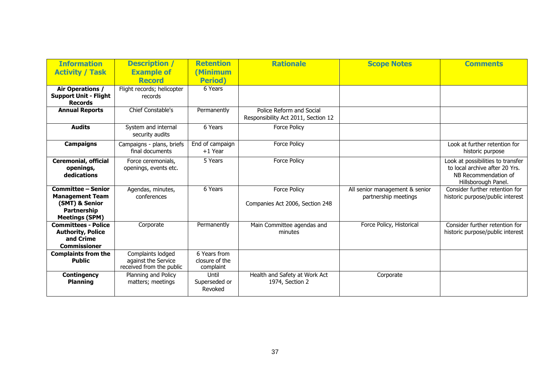| <b>Information</b><br><b>Activity / Task</b>                                                                  | <b>Description</b> /<br><b>Example of</b><br><b>Record</b>           | <b>Retention</b><br>Minimum<br><b>Period</b> ) | <b>Rationale</b>                                                | <b>Scope Notes</b>                                     | <b>Comments</b>                                                                                                    |
|---------------------------------------------------------------------------------------------------------------|----------------------------------------------------------------------|------------------------------------------------|-----------------------------------------------------------------|--------------------------------------------------------|--------------------------------------------------------------------------------------------------------------------|
| <b>Air Operations /</b><br><b>Support Unit - Flight</b><br><b>Records</b>                                     | Flight records; helicopter<br>records                                | 6 Years                                        |                                                                 |                                                        |                                                                                                                    |
| <b>Annual Reports</b>                                                                                         | <b>Chief Constable's</b>                                             | Permanently                                    | Police Reform and Social<br>Responsibility Act 2011, Section 12 |                                                        |                                                                                                                    |
| <b>Audits</b>                                                                                                 | System and internal<br>security audits                               | 6 Years                                        | <b>Force Policy</b>                                             |                                                        |                                                                                                                    |
| <b>Campaigns</b>                                                                                              | Campaigns - plans, briefs<br>final documents                         | End of campaign<br>$+1$ Year                   | <b>Force Policy</b>                                             |                                                        | Look at further retention for<br>historic purpose                                                                  |
| <b>Ceremonial, official</b><br>openings,<br>dedications                                                       | Force ceremonials,<br>openings, events etc.                          | 5 Years                                        | <b>Force Policy</b>                                             |                                                        | Look at possibilities to transfer<br>to local archive after 20 Yrs.<br>NB Recommendation of<br>Hillsborough Panel. |
| <b>Committee - Senior</b><br><b>Management Team</b><br>(SMT) & Senior<br>Partnership<br><b>Meetings (SPM)</b> | Agendas, minutes,<br>conferences                                     | 6 Years                                        | <b>Force Policy</b><br>Companies Act 2006, Section 248          | All senior management & senior<br>partnership meetings | Consider further retention for<br>historic purpose/public interest                                                 |
| <b>Committees - Police</b><br><b>Authority, Police</b><br>and Crime<br><b>Commissioner</b>                    | Corporate                                                            | Permanently                                    | Main Committee agendas and<br>minutes                           | Force Policy, Historical                               | Consider further retention for<br>historic purpose/public interest                                                 |
| <b>Complaints from the</b><br><b>Public</b>                                                                   | Complaints lodged<br>against the Service<br>received from the public | 6 Years from<br>closure of the<br>complaint    |                                                                 |                                                        |                                                                                                                    |
| <b>Contingency</b><br><b>Planning</b>                                                                         | Planning and Policy<br>matters; meetings                             | Until<br>Superseded or<br>Revoked              | Health and Safety at Work Act<br>1974, Section 2                | Corporate                                              |                                                                                                                    |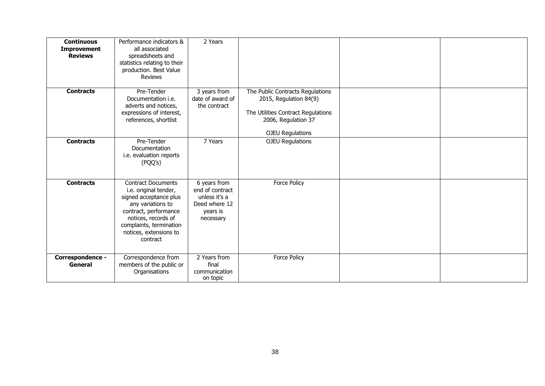| <b>Continuous</b><br><b>Improvement</b><br><b>Reviews</b> | Performance indicators &<br>all associated<br>spreadsheets and<br>statistics relating to their<br>production. Best Value<br><b>Reviews</b>                                                                         | 2 Years                                                                                    |                                                                                                                                                    |  |
|-----------------------------------------------------------|--------------------------------------------------------------------------------------------------------------------------------------------------------------------------------------------------------------------|--------------------------------------------------------------------------------------------|----------------------------------------------------------------------------------------------------------------------------------------------------|--|
| <b>Contracts</b>                                          | Pre-Tender<br>Documentation i.e.<br>adverts and notices,<br>expressions of interest,<br>references, shortlist                                                                                                      | 3 years from<br>date of award of<br>the contract                                           | The Public Contracts Regulations<br>2015, Regulation 84(9)<br>The Utilities Contract Regulations<br>2006, Regulation 37<br><b>OJEU Regulations</b> |  |
| <b>Contracts</b>                                          | Pre-Tender<br>Documentation<br>i.e. evaluation reports<br>(PQQ's)                                                                                                                                                  | 7 Years                                                                                    | <b>OJEU Regulations</b>                                                                                                                            |  |
| <b>Contracts</b>                                          | <b>Contract Documents</b><br>i.e. original tender,<br>signed acceptance plus<br>any variations to<br>contract, performance<br>notices, records of<br>complaints, termination<br>notices, extensions to<br>contract | 6 years from<br>end of contract<br>unless it's a<br>Deed where 12<br>years is<br>necessary | Force Policy                                                                                                                                       |  |
| Correspondence -<br>General                               | Correspondence from<br>members of the public or<br>Organisations                                                                                                                                                   | 2 Years from<br>final<br>communication<br>on topic                                         | Force Policy                                                                                                                                       |  |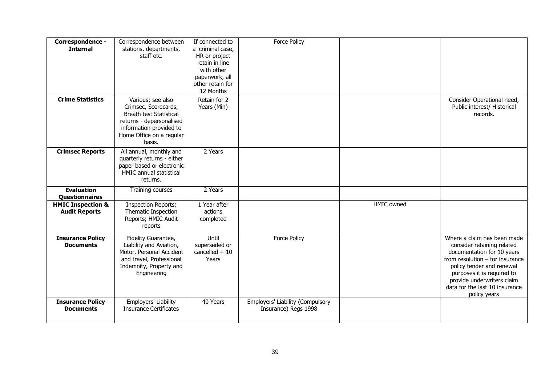| Correspondence -<br><b>Internal</b>                  | Correspondence between<br>stations, departments,<br>staff etc.                                                                                                    | If connected to<br>a criminal case,<br>HR or project<br>retain in line<br>with other<br>paperwork, all<br>other retain for<br>12 Months | Force Policy                                             |                   |                                                                                                                                                                                                                                                                         |
|------------------------------------------------------|-------------------------------------------------------------------------------------------------------------------------------------------------------------------|-----------------------------------------------------------------------------------------------------------------------------------------|----------------------------------------------------------|-------------------|-------------------------------------------------------------------------------------------------------------------------------------------------------------------------------------------------------------------------------------------------------------------------|
| <b>Crime Statistics</b>                              | Various; see also<br>Crimsec, Scorecards,<br>Breath test Statistical<br>returns - depersonalised<br>information provided to<br>Home Office on a regular<br>basis. | Retain for 2<br>Years (Min)                                                                                                             |                                                          |                   | Consider Operational need,<br>Public interest/ Historical<br>records.                                                                                                                                                                                                   |
| <b>Crimsec Reports</b>                               | All annual, monthly and<br>quarterly returns - either<br>paper based or electronic<br><b>HMIC annual statistical</b><br>returns.                                  | 2 Years                                                                                                                                 |                                                          |                   |                                                                                                                                                                                                                                                                         |
| <b>Evaluation</b><br><b>Questionnaires</b>           | Training courses                                                                                                                                                  | 2 Years                                                                                                                                 |                                                          |                   |                                                                                                                                                                                                                                                                         |
| <b>HMIC Inspection &amp;</b><br><b>Audit Reports</b> | <b>Inspection Reports;</b><br>Thematic Inspection<br>Reports; HMIC Audit<br>reports                                                                               | 1 Year after<br>actions<br>completed                                                                                                    |                                                          | <b>HMIC</b> owned |                                                                                                                                                                                                                                                                         |
| <b>Insurance Policy</b><br><b>Documents</b>          | Fidelity Guarantee,<br>Liability and Aviation,<br>Motor, Personal Accident<br>and travel, Professional<br>Indemnity, Property and<br>Engineering                  | Until<br>superseded or<br>cancelled $+10$<br>Years                                                                                      | <b>Force Policy</b>                                      |                   | Where a claim has been made<br>consider retaining related<br>documentation for 10 years<br>from resolution $-$ for insurance<br>policy tender and renewal<br>purposes it is required to<br>provide underwriters claim<br>data for the last 10 insurance<br>policy years |
| <b>Insurance Policy</b><br><b>Documents</b>          | Employers' Liability<br><b>Insurance Certificates</b>                                                                                                             | 40 Years                                                                                                                                | Employers' Liability (Compulsory<br>Insurance) Regs 1998 |                   |                                                                                                                                                                                                                                                                         |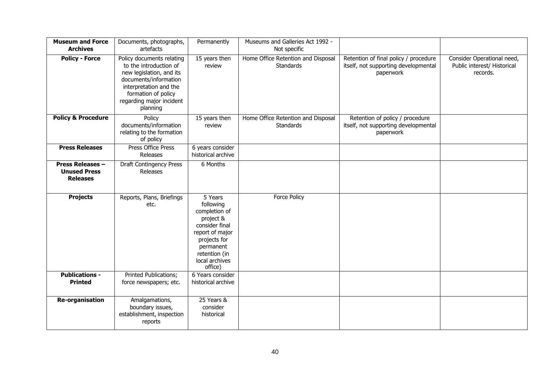| <b>Museum and Force</b><br><b>Archives</b>                        | Documents, photographs,<br>artefacts                                                                                                                                                              | Permanently                                                                                                                                                        | Museums and Galleries Act 1992 -<br>Not specific       |                                                                                            |                                                                       |
|-------------------------------------------------------------------|---------------------------------------------------------------------------------------------------------------------------------------------------------------------------------------------------|--------------------------------------------------------------------------------------------------------------------------------------------------------------------|--------------------------------------------------------|--------------------------------------------------------------------------------------------|-----------------------------------------------------------------------|
| <b>Policy - Force</b>                                             | Policy documents relating<br>to the introduction of<br>new legislation, and its<br>documents/information<br>interpretation and the<br>formation of policy<br>regarding major incident<br>planning | 15 years then<br>review                                                                                                                                            | Home Office Retention and Disposal<br><b>Standards</b> | Retention of final policy / procedure<br>itself, not supporting developmental<br>paperwork | Consider Operational need,<br>Public interest/ Historical<br>records. |
| <b>Policy &amp; Procedure</b>                                     | Policy<br>documents/information<br>relating to the formation<br>of policy                                                                                                                         | 15 years then<br>review                                                                                                                                            | Home Office Retention and Disposal<br><b>Standards</b> | Retention of policy / procedure<br>itself, not supporting developmental<br>paperwork       |                                                                       |
| <b>Press Releases</b>                                             | Press Office Press<br>Releases                                                                                                                                                                    | 6 years consider<br>historical archive                                                                                                                             |                                                        |                                                                                            |                                                                       |
| <b>Press Releases -</b><br><b>Unused Press</b><br><b>Releases</b> | <b>Draft Contingency Press</b><br>Releases                                                                                                                                                        | 6 Months                                                                                                                                                           |                                                        |                                                                                            |                                                                       |
| <b>Projects</b>                                                   | Reports, Plans, Briefings<br>etc.                                                                                                                                                                 | 5 Years<br>following<br>completion of<br>project &<br>consider final<br>report of major<br>projects for<br>permanent<br>retention (in<br>local archives<br>office) | <b>Force Policy</b>                                    |                                                                                            |                                                                       |
| <b>Publications -</b><br><b>Printed</b>                           | Printed Publications;<br>force newspapers; etc.                                                                                                                                                   | 6 Years consider<br>historical archive                                                                                                                             |                                                        |                                                                                            |                                                                       |
| <b>Re-organisation</b>                                            | Amalgamations,<br>boundary issues,<br>establishment, inspection<br>reports                                                                                                                        | 25 Years &<br>consider<br>historical                                                                                                                               |                                                        |                                                                                            |                                                                       |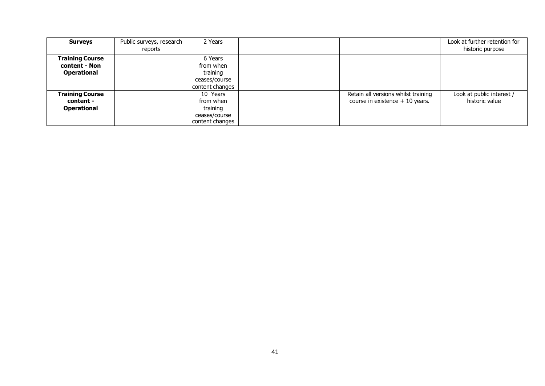| <b>Surveys</b>                                                | Public surveys, research<br>reports | 2 Years                                                               |                                                                         | Look at further retention for<br>historic purpose |
|---------------------------------------------------------------|-------------------------------------|-----------------------------------------------------------------------|-------------------------------------------------------------------------|---------------------------------------------------|
| <b>Training Course</b><br>content - Non<br><b>Operational</b> |                                     | 6 Years<br>from when<br>training<br>ceases/course<br>content changes  |                                                                         |                                                   |
| <b>Training Course</b><br>content -<br><b>Operational</b>     |                                     | 10 Years<br>from when<br>training<br>ceases/course<br>content changes | Retain all versions whilst training<br>course in existence $+10$ years. | Look at public interest /<br>historic value       |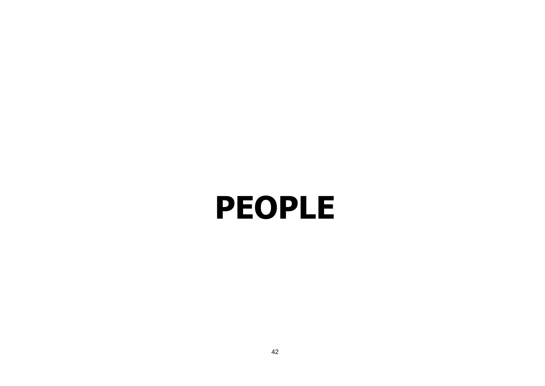## <span id="page-41-0"></span>**PEOPLE**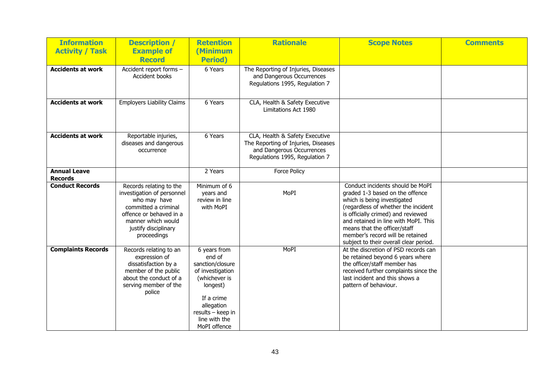| <b>Information</b><br><b>Activity / Task</b> | <b>Description /</b><br><b>Example of</b>                                                                                                                                             | <b>Retention</b><br>(Minimum                                                                                                                                                  | <b>Rationale</b>                                                                                                                     | <b>Scope Notes</b>                                                                                                                                                                                                                                                                                                                    | <b>Comments</b> |
|----------------------------------------------|---------------------------------------------------------------------------------------------------------------------------------------------------------------------------------------|-------------------------------------------------------------------------------------------------------------------------------------------------------------------------------|--------------------------------------------------------------------------------------------------------------------------------------|---------------------------------------------------------------------------------------------------------------------------------------------------------------------------------------------------------------------------------------------------------------------------------------------------------------------------------------|-----------------|
|                                              | <b>Record</b>                                                                                                                                                                         | <b>Period</b> )                                                                                                                                                               |                                                                                                                                      |                                                                                                                                                                                                                                                                                                                                       |                 |
| <b>Accidents at work</b>                     | Accident report forms -<br>Accident books                                                                                                                                             | 6 Years                                                                                                                                                                       | The Reporting of Injuries, Diseases<br>and Dangerous Occurrences<br>Regulations 1995, Regulation 7                                   |                                                                                                                                                                                                                                                                                                                                       |                 |
| <b>Accidents at work</b>                     | <b>Employers Liability Claims</b>                                                                                                                                                     | 6 Years                                                                                                                                                                       | CLA, Health & Safety Executive<br>Limitations Act 1980                                                                               |                                                                                                                                                                                                                                                                                                                                       |                 |
| <b>Accidents at work</b>                     | Reportable injuries,<br>diseases and dangerous<br>occurrence                                                                                                                          | 6 Years                                                                                                                                                                       | CLA, Health & Safety Executive<br>The Reporting of Injuries, Diseases<br>and Dangerous Occurrences<br>Regulations 1995, Regulation 7 |                                                                                                                                                                                                                                                                                                                                       |                 |
| <b>Annual Leave</b><br><b>Records</b>        |                                                                                                                                                                                       | 2 Years                                                                                                                                                                       | <b>Force Policy</b>                                                                                                                  |                                                                                                                                                                                                                                                                                                                                       |                 |
| <b>Conduct Records</b>                       | Records relating to the<br>investigation of personnel<br>who may have<br>committed a criminal<br>offence or behaved in a<br>manner which would<br>justify disciplinary<br>proceedings | Minimum of 6<br>years and<br>review in line<br>with MoPI                                                                                                                      | MoPI                                                                                                                                 | Conduct incidents should be MoPI<br>graded 1-3 based on the offence<br>which is being investigated<br>(regardless of whether the incident<br>is officially crimed) and reviewed<br>and retained in line with MoPI. This<br>means that the officer/staff<br>member's record will be retained<br>subject to their overall clear period. |                 |
| <b>Complaints Records</b>                    | Records relating to an<br>expression of<br>dissatisfaction by a<br>member of the public<br>about the conduct of a<br>serving member of the<br>police                                  | 6 years from<br>end of<br>sanction/closure<br>of investigation<br>(whichever is<br>longest)<br>If a crime<br>allegation<br>results - keep in<br>line with the<br>MoPI offence | MoPI                                                                                                                                 | At the discretion of PSD records can<br>be retained beyond 6 years where<br>the officer/staff member has<br>received further complaints since the<br>last incident and this shows a<br>pattern of behaviour.                                                                                                                          |                 |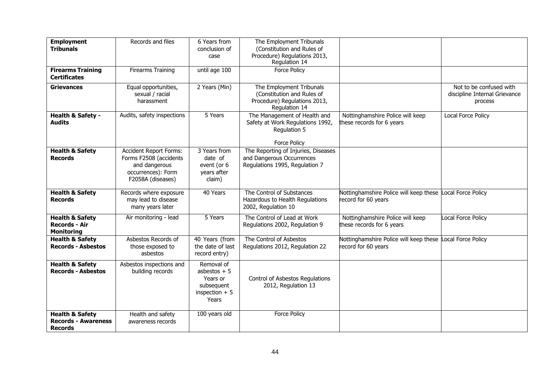| <b>Employment</b><br><b>Tribunals</b>                                      | Records and files                                                                                                   | 6 Years from<br>conclusion of<br>case                                             | The Employment Tribunals<br>(Constitution and Rules of<br>Procedure) Regulations 2013,<br>Regulation 14 |                                                                                  |                                                                     |
|----------------------------------------------------------------------------|---------------------------------------------------------------------------------------------------------------------|-----------------------------------------------------------------------------------|---------------------------------------------------------------------------------------------------------|----------------------------------------------------------------------------------|---------------------------------------------------------------------|
| <b>Firearms Training</b><br><b>Certificates</b>                            | <b>Firearms Training</b>                                                                                            | $\overline{$ until age 100                                                        | <b>Force Policy</b>                                                                                     |                                                                                  |                                                                     |
| <b>Grievances</b>                                                          | Equal opportunities,<br>sexual / racial<br>harassment                                                               | 2 Years (Min)                                                                     | The Employment Tribunals<br>(Constitution and Rules of<br>Procedure) Regulations 2013,<br>Regulation 14 |                                                                                  | Not to be confused with<br>discipline Internal Grievance<br>process |
| Health & Safety -<br><b>Audits</b>                                         | Audits, safety inspections                                                                                          | 5 Years                                                                           | The Management of Health and<br>Safety at Work Regulations 1992,<br>Regulation 5<br><b>Force Policy</b> | Nottinghamshire Police will keep<br>these records for 6 years                    | Local Force Policy                                                  |
| <b>Health &amp; Safety</b><br><b>Records</b>                               | <b>Accident Report Forms:</b><br>Forms F2508 (accidents<br>and dangerous<br>occurrences): Form<br>F2058A (diseases) | 3 Years from<br>date of<br>event (or 6<br>years after<br>claim)                   | The Reporting of Injuries, Diseases<br>and Dangerous Occurrences<br>Regulations 1995, Regulation 7      |                                                                                  |                                                                     |
| <b>Health &amp; Safety</b><br><b>Records</b>                               | Records where exposure<br>may lead to disease<br>many years later                                                   | 40 Years                                                                          | The Control of Substances<br>Hazardous to Health Regulations<br>2002, Regulation 10                     | Nottinghamshire Police will keep these Local Force Policy<br>record for 60 years |                                                                     |
| <b>Health &amp; Safety</b><br><b>Records - Air</b><br><b>Monitoring</b>    | Air monitoring - lead                                                                                               | 5 Years                                                                           | The Control of Lead at Work<br>Regulations 2002, Regulation 9                                           | Nottinghamshire Police will keep<br>these records for 6 years                    | <b>Local Force Policy</b>                                           |
| <b>Health &amp; Safety</b><br><b>Records - Asbestos</b>                    | Asbestos Records of<br>those exposed to<br>asbestos                                                                 | 40 Years (from<br>the date of last<br>record entry)                               | The Control of Asbestos<br>Regulations 2012, Regulation 22                                              | Nottinghamshire Police will keep these<br>record for 60 years                    | <b>Local Force Policy</b>                                           |
| <b>Health &amp; Safety</b><br><b>Records - Asbestos</b>                    | Asbestos inspections and<br>building records                                                                        | Removal of<br>asbestos $+5$<br>Years or<br>subsequent<br>inspection $+5$<br>Years | Control of Asbestos Regulations<br>2012, Regulation 13                                                  |                                                                                  |                                                                     |
| <b>Health &amp; Safety</b><br><b>Records - Awareness</b><br><b>Records</b> | Health and safety<br>awareness records                                                                              | 100 years old                                                                     | <b>Force Policy</b>                                                                                     |                                                                                  |                                                                     |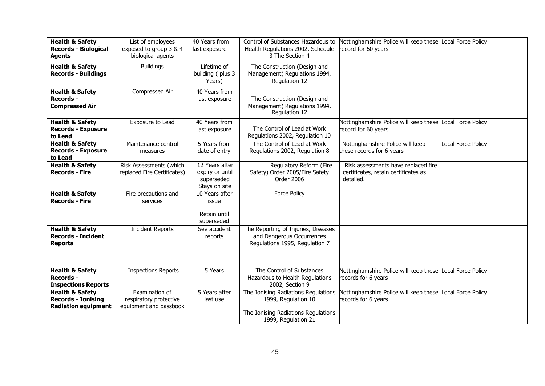| <b>Health &amp; Safety</b><br><b>Records - Biological</b><br><b>Agents</b>            | List of employees<br>exposed to group 3 & 4<br>biological agents   | 40 Years from<br>last exposure                                   | Control of Substances Hazardous to<br>Health Regulations 2002, Schedule<br>3 The Section 4                               | Nottinghamshire Police will keep these Local Force Policy<br>record for 60 years         |                           |
|---------------------------------------------------------------------------------------|--------------------------------------------------------------------|------------------------------------------------------------------|--------------------------------------------------------------------------------------------------------------------------|------------------------------------------------------------------------------------------|---------------------------|
| <b>Health &amp; Safety</b><br><b>Records - Buildings</b>                              | <b>Buildings</b>                                                   | Lifetime of<br>building (plus 3<br>Years)                        | The Construction (Design and<br>Management) Regulations 1994,<br>Regulation 12                                           |                                                                                          |                           |
| <b>Health &amp; Safety</b><br><b>Records -</b><br><b>Compressed Air</b>               | Compressed Air                                                     | 40 Years from<br>last exposure                                   | The Construction (Design and<br>Management) Regulations 1994,<br>Regulation 12                                           |                                                                                          |                           |
| <b>Health &amp; Safety</b><br><b>Records - Exposure</b><br>to Lead                    | Exposure to Lead                                                   | 40 Years from<br>last exposure                                   | The Control of Lead at Work<br>Regulations 2002, Regulation 10                                                           | Nottinghamshire Police will keep these Local Force Policy<br>record for 60 years         |                           |
| <b>Health &amp; Safety</b><br><b>Records - Exposure</b><br>to Lead                    | Maintenance control<br>measures                                    | 5 Years from<br>date of entry                                    | The Control of Lead at Work<br>Regulations 2002, Regulation 8                                                            | Nottinghamshire Police will keep<br>these records for 6 years                            | <b>Local Force Policy</b> |
| <b>Health &amp; Safety</b><br><b>Records - Fire</b>                                   | Risk Assessments (which<br>replaced Fire Certificates)             | 12 Years after<br>expiry or until<br>superseded<br>Stays on site | Regulatory Reform (Fire<br>Safety) Order 2005/Fire Safety<br>Order 2006                                                  | Risk assessments have replaced fire<br>certificates, retain certificates as<br>detailed. |                           |
| <b>Health &amp; Safety</b><br><b>Records - Fire</b>                                   | Fire precautions and<br>services                                   | 10 Years after<br>issue<br>Retain until<br>superseded            | <b>Force Policy</b>                                                                                                      |                                                                                          |                           |
| <b>Health &amp; Safety</b><br><b>Records - Incident</b><br><b>Reports</b>             | <b>Incident Reports</b>                                            | See accident<br>reports                                          | The Reporting of Injuries, Diseases<br>and Dangerous Occurrences<br>Regulations 1995, Regulation 7                       |                                                                                          |                           |
| <b>Health &amp; Safety</b><br>Records -<br><b>Inspections Reports</b>                 | <b>Inspections Reports</b>                                         | 5 Years                                                          | The Control of Substances<br>Hazardous to Health Regulations<br>2002, Section 9                                          | Nottinghamshire Police will keep these Local Force Policy<br>records for 6 years         |                           |
| <b>Health &amp; Safety</b><br><b>Records - Ionising</b><br><b>Radiation equipment</b> | Examination of<br>respiratory protective<br>equipment and passbook | 5 Years after<br>last use                                        | The Ionising Radiations Regulations<br>1999, Regulation 10<br>The Ionising Radiations Regulations<br>1999, Regulation 21 | Nottinghamshire Police will keep these Local Force Policy<br>records for 6 years         |                           |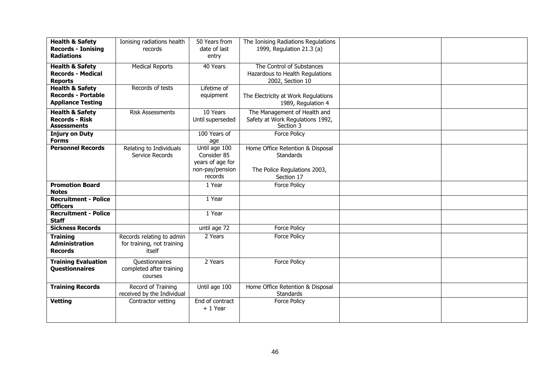| <b>Health &amp; Safety</b><br><b>Records - Ionising</b><br><b>Radiations</b>        | Ionising radiations health<br>records                             | 50 Years from<br>date of last<br>entry                                         | The Ionising Radiations Regulations<br>1999, Regulation 21.3 (a)                            |  |
|-------------------------------------------------------------------------------------|-------------------------------------------------------------------|--------------------------------------------------------------------------------|---------------------------------------------------------------------------------------------|--|
| <b>Health &amp; Safety</b><br><b>Records - Medical</b><br><b>Reports</b>            | <b>Medical Reports</b>                                            | 40 Years                                                                       | The Control of Substances<br>Hazardous to Health Regulations<br>2002, Section 10            |  |
| <b>Health &amp; Safety</b><br><b>Records - Portable</b><br><b>Appliance Testing</b> | Records of tests                                                  | Lifetime of<br>equipment                                                       | The Electricity at Work Regulations<br>1989, Regulation 4                                   |  |
| <b>Health &amp; Safety</b><br><b>Records - Risk</b><br><b>Assessments</b>           | <b>Risk Assessments</b>                                           | 10 Years<br>Until superseded                                                   | The Management of Health and<br>Safety at Work Regulations 1992,<br>Section 3               |  |
| <b>Injury on Duty</b><br><b>Forms</b>                                               |                                                                   | 100 Years of<br>age                                                            | Force Policy                                                                                |  |
| <b>Personnel Records</b>                                                            | Relating to Individuals<br>Service Records                        | Until age 100<br>Consider 85<br>years of age for<br>non-pay/pension<br>records | Home Office Retention & Disposal<br>Standards<br>The Police Regulations 2003,<br>Section 17 |  |
| <b>Promotion Board</b><br><b>Notes</b>                                              |                                                                   | 1 Year                                                                         | <b>Force Policy</b>                                                                         |  |
| <b>Recruitment - Police</b><br><b>Officers</b>                                      |                                                                   | 1 Year                                                                         |                                                                                             |  |
| <b>Recruitment - Police</b><br><b>Staff</b>                                         |                                                                   | 1 Year                                                                         |                                                                                             |  |
| <b>Sickness Records</b>                                                             |                                                                   | until age 72                                                                   | Force Policy                                                                                |  |
| <b>Training</b><br><b>Administration</b><br><b>Records</b>                          | Records relating to admin<br>for training, not training<br>itself | 2 Years                                                                        | Force Policy                                                                                |  |
| <b>Training Evaluation</b><br><b>Questionnaires</b>                                 | <b>Questionnaires</b><br>completed after training<br>courses      | 2 Years                                                                        | Force Policy                                                                                |  |
| <b>Training Records</b>                                                             | Record of Training<br>received by the Individual                  | Until age 100                                                                  | Home Office Retention & Disposal<br>Standards                                               |  |
| <b>Vetting</b>                                                                      | Contractor vetting                                                | End of contract<br>$+1$ Year                                                   | <b>Force Policy</b>                                                                         |  |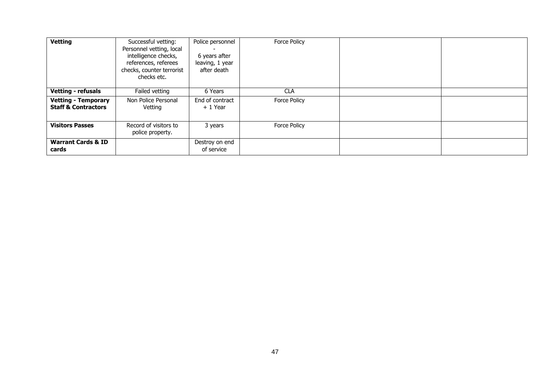| <b>Vetting</b>                                               | Successful vetting:<br>Personnel vetting, local<br>intelligence checks,<br>references, referees<br>checks, counter terrorist<br>checks etc. | Police personnel<br>6 years after<br>leaving, 1 year<br>after death | <b>Force Policy</b> |  |
|--------------------------------------------------------------|---------------------------------------------------------------------------------------------------------------------------------------------|---------------------------------------------------------------------|---------------------|--|
| <b>Vetting - refusals</b>                                    | Failed vetting                                                                                                                              | 6 Years                                                             | <b>CLA</b>          |  |
| <b>Vetting - Temporary</b><br><b>Staff &amp; Contractors</b> | Non Police Personal<br>Vetting                                                                                                              | End of contract<br>+ 1 Year                                         | <b>Force Policy</b> |  |
| <b>Visitors Passes</b>                                       | Record of visitors to<br>police property.                                                                                                   | 3 years                                                             | <b>Force Policy</b> |  |
| <b>Warrant Cards &amp; ID</b><br>cards                       |                                                                                                                                             | Destroy on end<br>of service                                        |                     |  |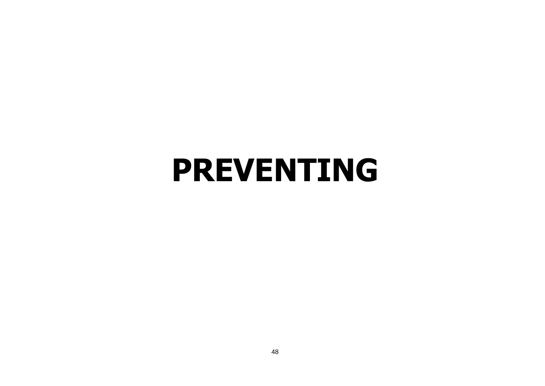## <span id="page-47-0"></span>**PREVENTING**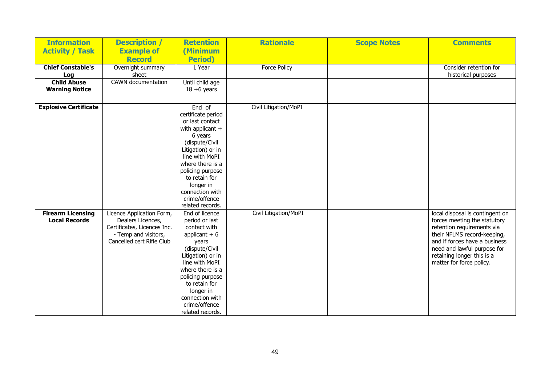| <b>Information</b>           | <b>Description /</b>        | <b>Retention</b>             | <b>Rationale</b>      | <b>Scope Notes</b> | <b>Comments</b>                 |
|------------------------------|-----------------------------|------------------------------|-----------------------|--------------------|---------------------------------|
| <b>Activity / Task</b>       | <b>Example of</b>           | (Minimum                     |                       |                    |                                 |
|                              | <b>Record</b>               | <b>Period</b> )              |                       |                    |                                 |
| <b>Chief Constable's</b>     | Overnight summary           | 1 Year                       | <b>Force Policy</b>   |                    | Consider retention for          |
| Log                          | sheet                       |                              |                       |                    | historical purposes             |
| <b>Child Abuse</b>           | CAWN documentation          | Until child age              |                       |                    |                                 |
| <b>Warning Notice</b>        |                             | $18 + 6$ years               |                       |                    |                                 |
|                              |                             |                              |                       |                    |                                 |
| <b>Explosive Certificate</b> |                             | End of                       | Civil Litigation/MoPI |                    |                                 |
|                              |                             | certificate period           |                       |                    |                                 |
|                              |                             | or last contact              |                       |                    |                                 |
|                              |                             | with applicant $+$           |                       |                    |                                 |
|                              |                             | 6 years                      |                       |                    |                                 |
|                              |                             | (dispute/Civil               |                       |                    |                                 |
|                              |                             | Litigation) or in            |                       |                    |                                 |
|                              |                             | line with MoPI               |                       |                    |                                 |
|                              |                             | where there is a             |                       |                    |                                 |
|                              |                             | policing purpose             |                       |                    |                                 |
|                              |                             | to retain for                |                       |                    |                                 |
|                              |                             | longer in<br>connection with |                       |                    |                                 |
|                              |                             | crime/offence                |                       |                    |                                 |
|                              |                             | related records.             |                       |                    |                                 |
| <b>Firearm Licensing</b>     | Licence Application Form,   | End of licence               | Civil Litigation/MoPI |                    | local disposal is contingent on |
| <b>Local Records</b>         | Dealers Licences,           | period or last               |                       |                    | forces meeting the statutory    |
|                              | Certificates, Licences Inc. | contact with                 |                       |                    | retention requirements via      |
|                              | - Temp and visitors,        | applicant $+6$               |                       |                    | their NFLMS record-keeping,     |
|                              | Cancelled cert Rifle Club   | years                        |                       |                    | and if forces have a business   |
|                              |                             | (dispute/Civil               |                       |                    | need and lawful purpose for     |
|                              |                             | Litigation) or in            |                       |                    | retaining longer this is a      |
|                              |                             | line with MoPI               |                       |                    | matter for force policy.        |
|                              |                             | where there is a             |                       |                    |                                 |
|                              |                             | policing purpose             |                       |                    |                                 |
|                              |                             | to retain for                |                       |                    |                                 |
|                              |                             | longer in                    |                       |                    |                                 |
|                              |                             | connection with              |                       |                    |                                 |
|                              |                             | crime/offence                |                       |                    |                                 |
|                              |                             | related records.             |                       |                    |                                 |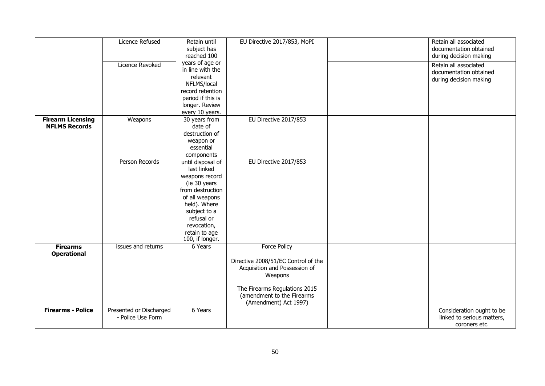|                                                  | Licence Refused<br><b>Licence Revoked</b>    | Retain until<br>subject has<br>reached 100<br>years of age or<br>in line with the<br>relevant<br>NFLMS/local<br>record retention<br>period if this is<br>longer. Review<br>every 10 years.                | EU Directive 2017/853, MoPI                                                                                                                                           | Retain all associated<br>documentation obtained<br>during decision making<br>Retain all associated<br>documentation obtained<br>during decision making |
|--------------------------------------------------|----------------------------------------------|-----------------------------------------------------------------------------------------------------------------------------------------------------------------------------------------------------------|-----------------------------------------------------------------------------------------------------------------------------------------------------------------------|--------------------------------------------------------------------------------------------------------------------------------------------------------|
| <b>Firearm Licensing</b><br><b>NFLMS Records</b> | Weapons                                      | 30 years from<br>date of<br>destruction of<br>weapon or<br>essential<br>components                                                                                                                        | EU Directive 2017/853                                                                                                                                                 |                                                                                                                                                        |
|                                                  | Person Records                               | until disposal of<br>last linked<br>weapons record<br>(ie 30 years<br>from destruction<br>of all weapons<br>held). Where<br>subject to a<br>refusal or<br>revocation,<br>retain to age<br>100, if longer. | EU Directive 2017/853                                                                                                                                                 |                                                                                                                                                        |
| <b>Firearms</b><br><b>Operational</b>            | issues and returns                           | 6 Years                                                                                                                                                                                                   | <b>Force Policy</b><br>Directive 2008/51/EC Control of the<br>Acquisition and Possession of<br>Weapons<br>The Firearms Regulations 2015<br>(amendment to the Firearms |                                                                                                                                                        |
| <b>Firearms - Police</b>                         | Presented or Discharged<br>- Police Use Form | 6 Years                                                                                                                                                                                                   | (Amendment) Act 1997)                                                                                                                                                 | Consideration ought to be<br>linked to serious matters,<br>coroners etc.                                                                               |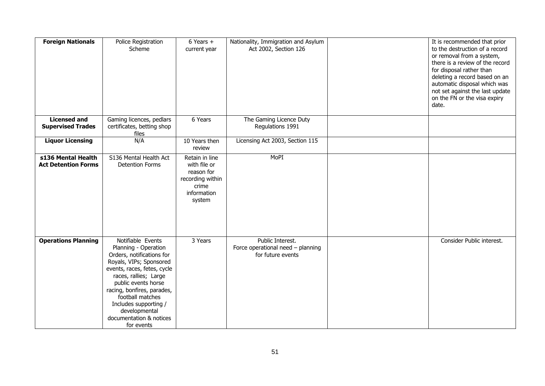| <b>Foreign Nationals</b>                         | Police Registration<br>Scheme                                                                                                                                                                                                                                                                                         | $6$ Years $+$<br>current year                                                                      | Nationality, Immigration and Asylum<br>Act 2002, Section 126               | It is recommended that prior<br>to the destruction of a record<br>or removal from a system,<br>there is a review of the record<br>for disposal rather than<br>deleting a record based on an<br>automatic disposal which was<br>not set against the last update<br>on the FN or the visa expiry<br>date. |
|--------------------------------------------------|-----------------------------------------------------------------------------------------------------------------------------------------------------------------------------------------------------------------------------------------------------------------------------------------------------------------------|----------------------------------------------------------------------------------------------------|----------------------------------------------------------------------------|---------------------------------------------------------------------------------------------------------------------------------------------------------------------------------------------------------------------------------------------------------------------------------------------------------|
| <b>Licensed and</b><br><b>Supervised Trades</b>  | Gaming licences, pedlars<br>certificates, betting shop<br>files                                                                                                                                                                                                                                                       | 6 Years                                                                                            | The Gaming Licence Duty<br>Regulations 1991                                |                                                                                                                                                                                                                                                                                                         |
| <b>Liquor Licensing</b>                          | N/A                                                                                                                                                                                                                                                                                                                   | 10 Years then<br>review                                                                            | Licensing Act 2003, Section 115                                            |                                                                                                                                                                                                                                                                                                         |
| s136 Mental Health<br><b>Act Detention Forms</b> | S136 Mental Health Act<br><b>Detention Forms</b>                                                                                                                                                                                                                                                                      | Retain in line<br>with file or<br>reason for<br>recording within<br>crime<br>information<br>system | MoPI                                                                       |                                                                                                                                                                                                                                                                                                         |
| <b>Operations Planning</b>                       | Notifiable Events<br>Planning - Operation<br>Orders, notifications for<br>Royals, VIPs; Sponsored<br>events, races, fetes, cycle<br>races, rallies; Large<br>public events horse<br>racing, bonfires, parades,<br>football matches<br>Includes supporting /<br>developmental<br>documentation & notices<br>for events | 3 Years                                                                                            | Public Interest.<br>Force operational need - planning<br>for future events | Consider Public interest.                                                                                                                                                                                                                                                                               |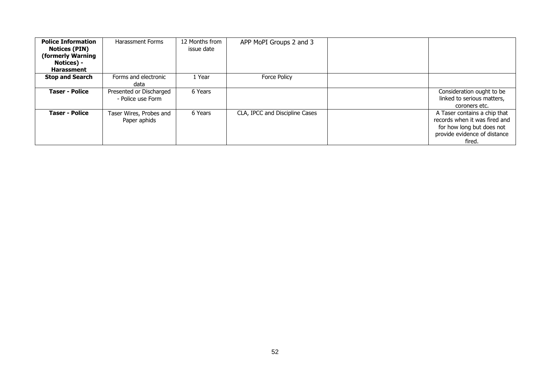| <b>Police Information</b><br><b>Notices (PIN)</b><br>(formerly Warning<br>Notices) -<br><b>Harassment</b> | <b>Harassment Forms</b>                      | 12 Months from<br>issue date | APP MoPI Groups 2 and 3        |                                                                                                                                      |
|-----------------------------------------------------------------------------------------------------------|----------------------------------------------|------------------------------|--------------------------------|--------------------------------------------------------------------------------------------------------------------------------------|
| <b>Stop and Search</b>                                                                                    | Forms and electronic<br>data                 | 1 Year                       | <b>Force Policy</b>            |                                                                                                                                      |
| <b>Taser - Police</b>                                                                                     | Presented or Discharged<br>- Police use Form | 6 Years                      |                                | Consideration ought to be<br>linked to serious matters,<br>coroners etc.                                                             |
| <b>Taser - Police</b>                                                                                     | Taser Wires, Probes and<br>Paper aphids      | 6 Years                      | CLA, IPCC and Discipline Cases | A Taser contains a chip that<br>records when it was fired and<br>for how long but does not<br>provide evidence of distance<br>fired. |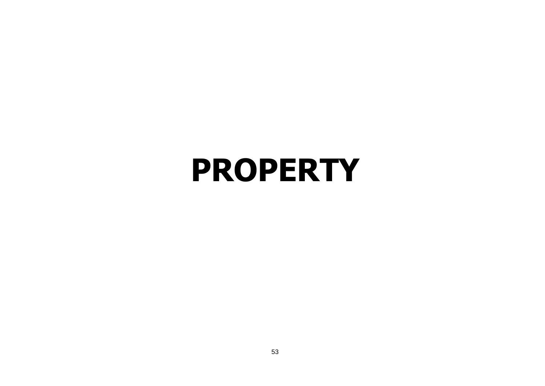### <span id="page-52-0"></span>**PROPERTY**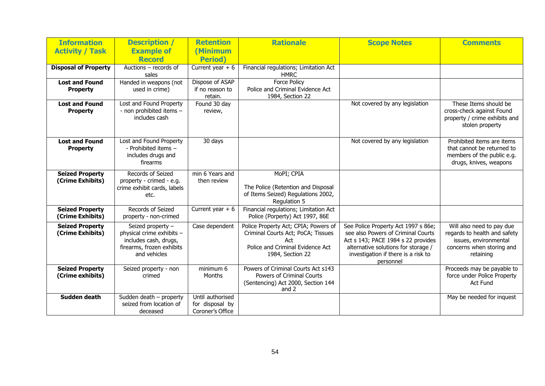| <b>Information</b>                         | <b>Description</b> /                                                                                                 | <b>Retention</b>                                        | <b>Rationale</b>                                                                                                                          | <b>Scope Notes</b>                                                                                                                                                                                         | <b>Comments</b>                                                                                                              |
|--------------------------------------------|----------------------------------------------------------------------------------------------------------------------|---------------------------------------------------------|-------------------------------------------------------------------------------------------------------------------------------------------|------------------------------------------------------------------------------------------------------------------------------------------------------------------------------------------------------------|------------------------------------------------------------------------------------------------------------------------------|
| <b>Activity / Task</b>                     | <b>Example of</b>                                                                                                    | (Minimum                                                |                                                                                                                                           |                                                                                                                                                                                                            |                                                                                                                              |
|                                            | <b>Record</b>                                                                                                        | <b>Period</b> )                                         |                                                                                                                                           |                                                                                                                                                                                                            |                                                                                                                              |
| <b>Disposal of Property</b>                | Auctions - records of<br>sales                                                                                       | Current year $+ 6$                                      | Financial regulations; Limitation Act<br><b>HMRC</b>                                                                                      |                                                                                                                                                                                                            |                                                                                                                              |
| <b>Lost and Found</b><br><b>Property</b>   | Handed in weapons (not<br>used in crime)                                                                             | Dispose of ASAP<br>if no reason to<br>retain.           | <b>Force Policy</b><br>Police and Criminal Evidence Act<br>1984, Section 22                                                               |                                                                                                                                                                                                            |                                                                                                                              |
| <b>Lost and Found</b><br><b>Property</b>   | Lost and Found Property<br>- non prohibited items -<br>includes cash                                                 | Found 30 day<br>review,                                 |                                                                                                                                           | Not covered by any legislation                                                                                                                                                                             | These Items should be<br>cross-check against Found<br>property / crime exhibits and<br>stolen property                       |
| <b>Lost and Found</b><br><b>Property</b>   | Lost and Found Property<br>- Prohibited items -<br>includes drugs and<br>firearms                                    | 30 days                                                 |                                                                                                                                           | Not covered by any legislation                                                                                                                                                                             | Prohibited items are items<br>that cannot be returned to<br>members of the public e.g.<br>drugs, knives, weapons             |
| <b>Seized Property</b><br>(Crime Exhibits) | Records of Seized<br>property - crimed - e.g.<br>crime exhibit cards, labels<br>etc.                                 | min 6 Years and<br>then review                          | MoPI; CPIA<br>The Police (Retention and Disposal<br>of Items Seized) Regulations 2002,<br>Regulation 5                                    |                                                                                                                                                                                                            |                                                                                                                              |
| <b>Seized Property</b><br>(Crime Exhibits) | Records of Seized<br>property - non-crimed                                                                           | Current year $+6$                                       | Financial regulations; Limitation Act<br>Police (Porperty) Act 1997, 86E                                                                  |                                                                                                                                                                                                            |                                                                                                                              |
| <b>Seized Property</b><br>(Crime Exhibits) | Seized property -<br>physical crime exhibits -<br>includes cash, drugs,<br>firearms, frozen exhibits<br>and vehicles | Case dependent                                          | Police Property Act; CPIA; Powers of<br>Criminal Courts Act; PoCA; Tissues<br>Act<br>Police and Criminal Evidence Act<br>1984, Section 22 | See Police Property Act 1997 s 86e;<br>see also Powers of Criminal Courts<br>Act s 143; PACE 1984 s 22 provides<br>alternative solutions for storage /<br>investigation if there is a risk to<br>personnel | Will also need to pay due<br>regards to health and safety<br>issues, environmental<br>concerns when storing and<br>retaining |
| <b>Seized Property</b><br>(Crime exhibits) | Seized property - non<br>crimed                                                                                      | minimum 6<br>Months                                     | Powers of Criminal Courts Act s143<br>Powers of Criminal Courts<br>(Sentencing) Act 2000, Section 144<br>and 2                            |                                                                                                                                                                                                            | Proceeds may be payable to<br>force under Police Property<br><b>Act Fund</b>                                                 |
| Sudden death                               | Sudden death $-$ property<br>seized from location of<br>deceased                                                     | Until authorised<br>for disposal by<br>Coroner's Office |                                                                                                                                           |                                                                                                                                                                                                            | May be needed for inquest                                                                                                    |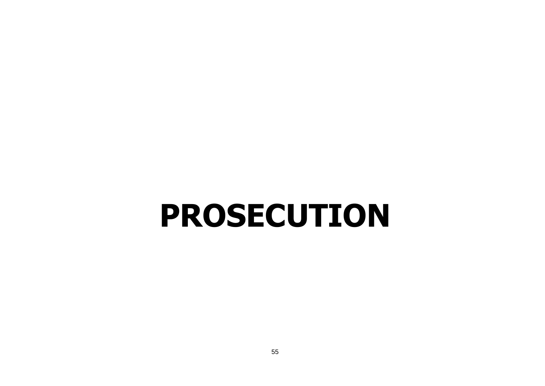## <span id="page-54-0"></span>**PROSECUTION**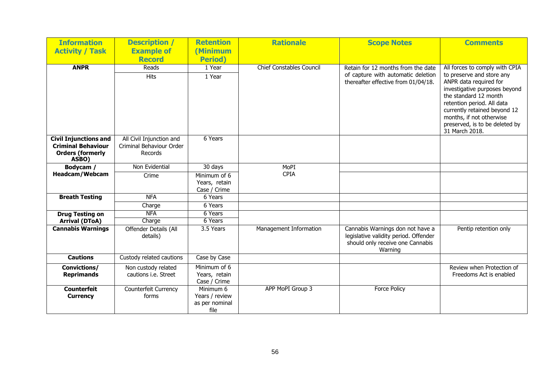| <b>Information</b>               | <b>Description /</b>              | <b>Retention</b>       | <b>Rationale</b>                | <b>Scope Notes</b>                                                                                                       | <b>Comments</b>                                                                                                                                                                                                                                             |
|----------------------------------|-----------------------------------|------------------------|---------------------------------|--------------------------------------------------------------------------------------------------------------------------|-------------------------------------------------------------------------------------------------------------------------------------------------------------------------------------------------------------------------------------------------------------|
| <b>Activity / Task</b>           | <b>Example of</b>                 | (Minimum               |                                 |                                                                                                                          |                                                                                                                                                                                                                                                             |
|                                  | <b>Record</b>                     | <b>Period</b> )        |                                 |                                                                                                                          |                                                                                                                                                                                                                                                             |
| <b>ANPR</b>                      | Reads                             | 1 Year                 | <b>Chief Constables Council</b> | Retain for 12 months from the date                                                                                       | All forces to comply with CPIA                                                                                                                                                                                                                              |
|                                  | <b>Hits</b>                       | 1 Year                 |                                 | of capture with automatic deletion<br>thereafter effective from 01/04/18.                                                | to preserve and store any<br>ANPR data required for<br>investigative purposes beyond<br>the standard 12 month<br>retention period. All data<br>currently retained beyond 12<br>months, if not otherwise<br>preserved, is to be deleted by<br>31 March 2018. |
| <b>Civil Injunctions and</b>     | All Civil Injunction and          | 6 Years                |                                 |                                                                                                                          |                                                                                                                                                                                                                                                             |
| <b>Criminal Behaviour</b>        | Criminal Behaviour Order          |                        |                                 |                                                                                                                          |                                                                                                                                                                                                                                                             |
| <b>Orders (formerly</b><br>ASBO) | Records                           |                        |                                 |                                                                                                                          |                                                                                                                                                                                                                                                             |
| Bodycam /                        | Non Evidential                    | 30 days                | MoPI                            |                                                                                                                          |                                                                                                                                                                                                                                                             |
| <b>Headcam/Webcam</b>            | Crime                             | Minimum of 6           | <b>CPIA</b>                     |                                                                                                                          |                                                                                                                                                                                                                                                             |
|                                  |                                   | Years, retain          |                                 |                                                                                                                          |                                                                                                                                                                                                                                                             |
|                                  |                                   | Case / Crime           |                                 |                                                                                                                          |                                                                                                                                                                                                                                                             |
| <b>Breath Testing</b>            | <b>NFA</b>                        | 6 Years                |                                 |                                                                                                                          |                                                                                                                                                                                                                                                             |
|                                  | Charge                            | 6 Years                |                                 |                                                                                                                          |                                                                                                                                                                                                                                                             |
| <b>Drug Testing on</b>           | <b>NFA</b>                        | 6 Years                |                                 |                                                                                                                          |                                                                                                                                                                                                                                                             |
| <b>Arrival (DToA)</b>            | Charge                            | 6 Years                |                                 |                                                                                                                          |                                                                                                                                                                                                                                                             |
| <b>Cannabis Warnings</b>         | Offender Details (All<br>details) | 3.5 Years              | Management Information          | Cannabis Warnings don not have a<br>legislative validity period. Offender<br>should only receive one Cannabis<br>Warning | Pentip retention only                                                                                                                                                                                                                                       |
| <b>Cautions</b>                  | Custody related cautions          | Case by Case           |                                 |                                                                                                                          |                                                                                                                                                                                                                                                             |
| Convictions/                     | Non custody related               | Minimum of 6           |                                 |                                                                                                                          | Review when Protection of                                                                                                                                                                                                                                   |
| <b>Reprimands</b>                | cautions i.e. Street              | Years, retain          |                                 |                                                                                                                          | Freedoms Act is enabled                                                                                                                                                                                                                                     |
|                                  |                                   | Case / Crime           |                                 |                                                                                                                          |                                                                                                                                                                                                                                                             |
| <b>Counterfeit</b>               | Counterfeit Currency              | Minimum 6              | APP MoPI Group 3                | Force Policy                                                                                                             |                                                                                                                                                                                                                                                             |
| <b>Currency</b>                  | forms                             | Years / review         |                                 |                                                                                                                          |                                                                                                                                                                                                                                                             |
|                                  |                                   | as per nominal<br>file |                                 |                                                                                                                          |                                                                                                                                                                                                                                                             |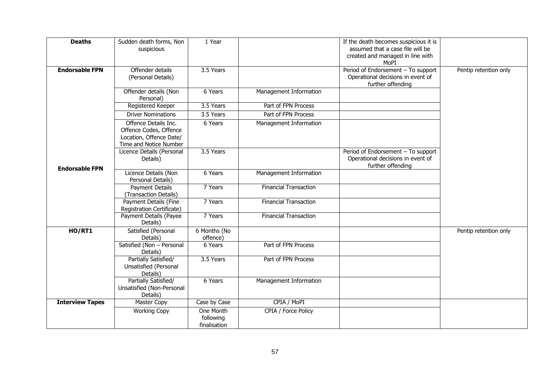| <b>Deaths</b>          | Sudden death forms, Non<br>suspicious                                                               | 1 Year                                 |                              | If the death becomes suspicious it is<br>assumed that a case file will be<br>created and managed in line with<br>MoPI |                       |
|------------------------|-----------------------------------------------------------------------------------------------------|----------------------------------------|------------------------------|-----------------------------------------------------------------------------------------------------------------------|-----------------------|
| <b>Endorsable FPN</b>  | Offender details<br>(Personal Details)                                                              | 3.5 Years                              |                              | Period of Endorsement - To support<br>Operational decisions in event of<br>further offending                          | Pentip retention only |
|                        | Offender details (Non<br>Personal)                                                                  | 6 Years                                | Management Information       |                                                                                                                       |                       |
|                        | Registered Keeper                                                                                   | 3.5 Years                              | Part of FPN Process          |                                                                                                                       |                       |
|                        | <b>Driver Nominations</b>                                                                           | 3.5 Years                              | Part of FPN Process          |                                                                                                                       |                       |
|                        | Offence Details Inc.<br>Offence Codes, Offence<br>Location, Offence Date/<br>Time and Notice Number | 6 Years                                | Management Information       |                                                                                                                       |                       |
| <b>Endorsable FPN</b>  | Licence Details (Personal<br>Details)                                                               | 3.5 Years                              |                              | Period of Endorsement - To support<br>Operational decisions in event of<br>further offending                          |                       |
|                        | Licence Details (Non<br>Personal Details)                                                           | 6 Years                                | Management Information       |                                                                                                                       |                       |
|                        | <b>Payment Details</b><br>(Transaction Details)                                                     | 7 Years                                | <b>Financial Transaction</b> |                                                                                                                       |                       |
|                        | Payment Details (Fine<br>Registration Certificate)                                                  | 7 Years                                | <b>Financial Transaction</b> |                                                                                                                       |                       |
|                        | Payment Details (Payee<br>Details)                                                                  | 7 Years                                | <b>Financial Transaction</b> |                                                                                                                       |                       |
| HO/RT1                 | Satisfied (Personal                                                                                 | 6 Months (No                           |                              |                                                                                                                       | Pentip retention only |
|                        | Details)                                                                                            | offence)                               |                              |                                                                                                                       |                       |
|                        | Satisfied (Non - Personal<br>Details)                                                               | 6 Years                                | Part of FPN Process          |                                                                                                                       |                       |
|                        | Partially Satisfied/<br>Unsatisfied (Personal<br>Details)                                           | 3.5 Years                              | Part of FPN Process          |                                                                                                                       |                       |
|                        | Partially Satisfied/<br>Unsatisfied (Non-Personal<br>Details)                                       | 6 Years                                | Management Information       |                                                                                                                       |                       |
| <b>Interview Tapes</b> | <b>Master Copy</b>                                                                                  | Case by Case                           | CPIA / MoPI                  |                                                                                                                       |                       |
|                        | <b>Working Copy</b>                                                                                 | One Month<br>following<br>finalisation | CPIA / Force Policy          |                                                                                                                       |                       |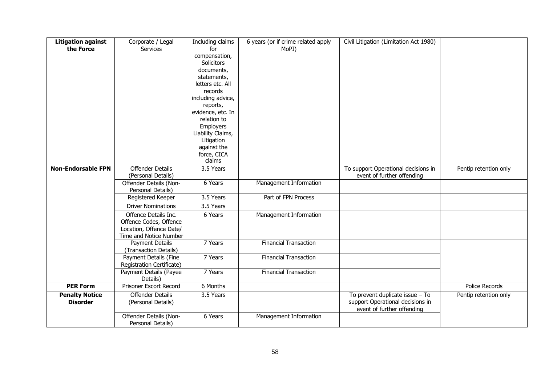| <b>Litigation against</b> | Corporate / Legal                              | Including claims               | 6 years (or if crime related apply | Civil Litigation (Limitation Act 1980) |                       |
|---------------------------|------------------------------------------------|--------------------------------|------------------------------------|----------------------------------------|-----------------------|
| the Force                 | Services                                       | for                            | MoPI)                              |                                        |                       |
|                           |                                                | compensation,                  |                                    |                                        |                       |
|                           |                                                | Solicitors                     |                                    |                                        |                       |
|                           |                                                | documents,                     |                                    |                                        |                       |
|                           |                                                | statements,                    |                                    |                                        |                       |
|                           |                                                | letters etc. All               |                                    |                                        |                       |
|                           |                                                | records                        |                                    |                                        |                       |
|                           |                                                | including advice,              |                                    |                                        |                       |
|                           |                                                | reports,                       |                                    |                                        |                       |
|                           |                                                | evidence, etc. In              |                                    |                                        |                       |
|                           |                                                | relation to                    |                                    |                                        |                       |
|                           |                                                | Employers<br>Liability Claims, |                                    |                                        |                       |
|                           |                                                | Litigation                     |                                    |                                        |                       |
|                           |                                                | against the                    |                                    |                                        |                       |
|                           |                                                | force, CICA                    |                                    |                                        |                       |
|                           |                                                | claims                         |                                    |                                        |                       |
| <b>Non-Endorsable FPN</b> | <b>Offender Details</b>                        | 3.5 Years                      |                                    | To support Operational decisions in    | Pentip retention only |
|                           | (Personal Details)                             |                                |                                    | event of further offending             |                       |
|                           | Offender Details (Non-                         | 6 Years                        | Management Information             |                                        |                       |
|                           | Personal Details)                              |                                |                                    |                                        |                       |
|                           | Registered Keeper                              | 3.5 Years                      | Part of FPN Process                |                                        |                       |
|                           | <b>Driver Nominations</b>                      | 3.5 Years                      |                                    |                                        |                       |
|                           | Offence Details Inc.                           | 6 Years                        | Management Information             |                                        |                       |
|                           | Offence Codes, Offence                         |                                |                                    |                                        |                       |
|                           | Location, Offence Date/                        |                                |                                    |                                        |                       |
|                           | Time and Notice Number                         |                                |                                    |                                        |                       |
|                           | Payment Details                                | 7 Years                        | <b>Financial Transaction</b>       |                                        |                       |
|                           | (Transaction Details)<br>Payment Details (Fine | 7 Years                        | <b>Financial Transaction</b>       |                                        |                       |
|                           | Registration Certificate)                      |                                |                                    |                                        |                       |
|                           | Payment Details (Payee                         | 7 Years                        | <b>Financial Transaction</b>       |                                        |                       |
|                           | Details)                                       |                                |                                    |                                        |                       |
| <b>PER Form</b>           | <b>Prisoner Escort Record</b>                  | 6 Months                       |                                    |                                        | <b>Police Records</b> |
| <b>Penalty Notice</b>     | <b>Offender Details</b>                        | 3.5 Years                      |                                    | To prevent duplicate issue $-$ To      | Pentip retention only |
| <b>Disorder</b>           | (Personal Details)                             |                                |                                    | support Operational decisions in       |                       |
|                           |                                                |                                |                                    | event of further offending             |                       |
|                           | Offender Details (Non-<br>Personal Details)    | 6 Years                        | Management Information             |                                        |                       |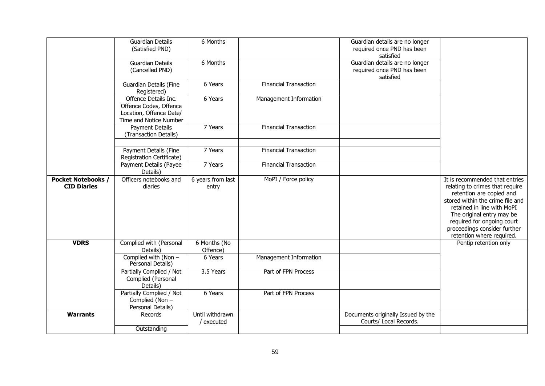|                                                 | <b>Guardian Details</b><br>(Satisfied PND)                                                          | 6 Months                      |                              | Guardian details are no longer<br>required once PND has been<br>satisfied |                                                                                                                                                                                                                                                                                         |
|-------------------------------------------------|-----------------------------------------------------------------------------------------------------|-------------------------------|------------------------------|---------------------------------------------------------------------------|-----------------------------------------------------------------------------------------------------------------------------------------------------------------------------------------------------------------------------------------------------------------------------------------|
|                                                 | <b>Guardian Details</b><br>(Cancelled PND)                                                          | 6 Months                      |                              | Guardian details are no longer<br>required once PND has been<br>satisfied |                                                                                                                                                                                                                                                                                         |
|                                                 | <b>Guardian Details (Fine</b><br>Registered)                                                        | 6 Years                       | <b>Financial Transaction</b> |                                                                           |                                                                                                                                                                                                                                                                                         |
|                                                 | Offence Details Inc.<br>Offence Codes, Offence<br>Location, Offence Date/<br>Time and Notice Number | 6 Years                       | Management Information       |                                                                           |                                                                                                                                                                                                                                                                                         |
|                                                 | <b>Payment Details</b><br>(Transaction Details)                                                     | 7 Years                       | <b>Financial Transaction</b> |                                                                           |                                                                                                                                                                                                                                                                                         |
|                                                 | Payment Details (Fine<br>Registration Certificate)                                                  | 7 Years                       | <b>Financial Transaction</b> |                                                                           |                                                                                                                                                                                                                                                                                         |
|                                                 | Payment Details (Payee<br>Details)                                                                  | 7 Years                       | <b>Financial Transaction</b> |                                                                           |                                                                                                                                                                                                                                                                                         |
| <b>Pocket Notebooks /</b><br><b>CID Diaries</b> | Officers notebooks and<br>diaries                                                                   | 6 years from last<br>entry    | MoPI / Force policy          |                                                                           | It is recommended that entries<br>relating to crimes that require<br>retention are copied and<br>stored within the crime file and<br>retained in line with MoPI<br>The original entry may be<br>required for ongoing court<br>proceedings consider further<br>retention where required. |
| <b>VDRS</b>                                     | Complied with (Personal<br>Details)                                                                 | 6 Months (No<br>Offence)      |                              |                                                                           | Pentip retention only                                                                                                                                                                                                                                                                   |
|                                                 | Complied with (Non -<br>Personal Details)                                                           | 6 Years                       | Management Information       |                                                                           |                                                                                                                                                                                                                                                                                         |
|                                                 | Partially Complied / Not<br>Complied (Personal<br>Details)                                          | 3.5 Years                     | Part of FPN Process          |                                                                           |                                                                                                                                                                                                                                                                                         |
|                                                 | Partially Complied / Not<br>Complied (Non -<br>Personal Details)                                    | 6 Years                       | Part of FPN Process          |                                                                           |                                                                                                                                                                                                                                                                                         |
| <b>Warrants</b>                                 | Records                                                                                             | Until withdrawn<br>' executed |                              | Documents originally Issued by the<br>Courts/ Local Records.              |                                                                                                                                                                                                                                                                                         |
|                                                 | Outstanding                                                                                         |                               |                              |                                                                           |                                                                                                                                                                                                                                                                                         |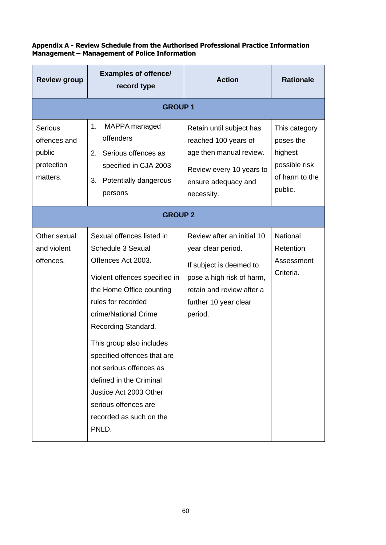| Appendix A - Review Schedule from the Authorised Professional Practice Information |  |
|------------------------------------------------------------------------------------|--|
| Management – Management of Police Information                                      |  |

| <b>Review group</b>                                                | <b>Examples of offence/</b><br>record type                                                                                                                                                                                                                                                                                                                                                                    | <b>Action</b>                                                                                                                                                             | <b>Rationale</b>                                                                    |  |  |  |  |  |
|--------------------------------------------------------------------|---------------------------------------------------------------------------------------------------------------------------------------------------------------------------------------------------------------------------------------------------------------------------------------------------------------------------------------------------------------------------------------------------------------|---------------------------------------------------------------------------------------------------------------------------------------------------------------------------|-------------------------------------------------------------------------------------|--|--|--|--|--|
| <b>GROUP1</b>                                                      |                                                                                                                                                                                                                                                                                                                                                                                                               |                                                                                                                                                                           |                                                                                     |  |  |  |  |  |
| <b>Serious</b><br>offences and<br>public<br>protection<br>matters. | MAPPA managed<br>1.<br>offenders<br>2.<br>Serious offences as<br>specified in CJA 2003<br>Potentially dangerous<br>3.<br>persons                                                                                                                                                                                                                                                                              | Retain until subject has<br>reached 100 years of<br>age then manual review.<br>Review every 10 years to<br>ensure adequacy and<br>necessity.                              | This category<br>poses the<br>highest<br>possible risk<br>of harm to the<br>public. |  |  |  |  |  |
|                                                                    | <b>GROUP 2</b>                                                                                                                                                                                                                                                                                                                                                                                                |                                                                                                                                                                           |                                                                                     |  |  |  |  |  |
| Other sexual<br>and violent<br>offences.                           | Sexual offences listed in<br>Schedule 3 Sexual<br>Offences Act 2003.<br>Violent offences specified in<br>the Home Office counting<br>rules for recorded<br>crime/National Crime<br>Recording Standard.<br>This group also includes<br>specified offences that are<br>not serious offences as<br>defined in the Criminal<br>Justice Act 2003 Other<br>serious offences are<br>recorded as such on the<br>PNLD. | Review after an initial 10<br>year clear period.<br>If subject is deemed to<br>pose a high risk of harm,<br>retain and review after a<br>further 10 year clear<br>period. | National<br>Retention<br>Assessment<br>Criteria.                                    |  |  |  |  |  |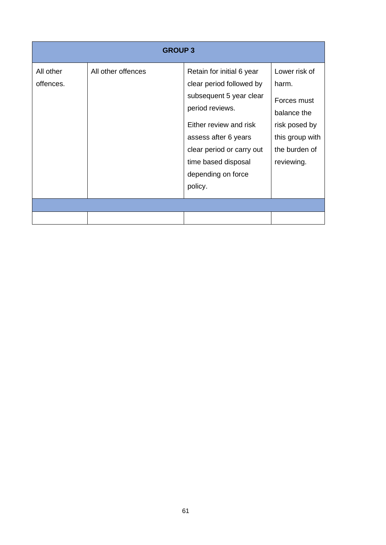| <b>GROUP 3</b>         |                    |                                                                                                                                                                                                                                            |                                                                                                                         |  |  |  |
|------------------------|--------------------|--------------------------------------------------------------------------------------------------------------------------------------------------------------------------------------------------------------------------------------------|-------------------------------------------------------------------------------------------------------------------------|--|--|--|
| All other<br>offences. | All other offences | Retain for initial 6 year<br>clear period followed by<br>subsequent 5 year clear<br>period reviews.<br>Either review and risk<br>assess after 6 years<br>clear period or carry out<br>time based disposal<br>depending on force<br>policy. | Lower risk of<br>harm.<br>Forces must<br>balance the<br>risk posed by<br>this group with<br>the burden of<br>reviewing. |  |  |  |
|                        |                    |                                                                                                                                                                                                                                            |                                                                                                                         |  |  |  |
|                        |                    |                                                                                                                                                                                                                                            |                                                                                                                         |  |  |  |